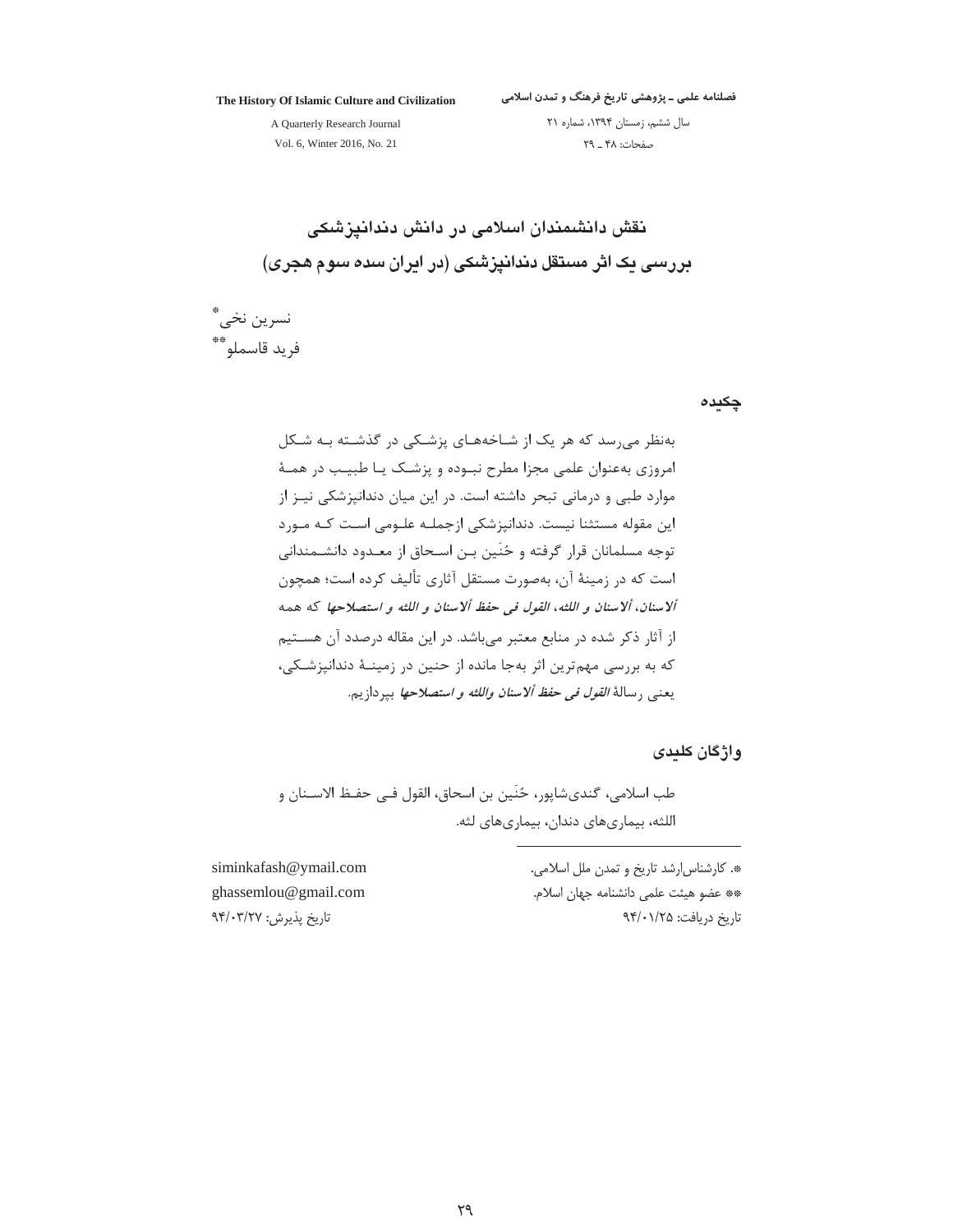The History Of Islamic Culture and Civilization

فصلنامه علمی ـ پژوهشی تاریخ فرهنگ و تمدن اسلامی

A Quarterly Research Journal Vol. 6, Winter 2016, No. 21

سال ششم، زمستان ١٣٩۴، شماره ٢١ صفحات: ۴۸ \_ ٢٩

نقش دانشمندان اسلامی در دانش دندانیزشکی بررسی یک اثر مستقل دندانیزشکی (در ایران سده سوم هجری)

نسرين نخي\*ٌ فريد قاسملو\*\*

چکیدہ

بهنظر می سد که هر یک از شـاخههـای پزشـکی در گذشـته بـه شـکل امروزی بهعنوان علمی مجزا مطرح نبـوده و پزشـک یـا طبیـب در همـهٔ موارد طبی و درمانی تبحر داشته است. در این میان دندانپزشکی نیـز از این مقوله مستثنا نیست. دندانپزشکی ازجملـه علـومی اسـت کـه مـورد توجه مسلمانان قرار گرفته و حُنَين بـن اسـحاق از معـدود دانشـمنداني است که در زمینهٔ آن، بهصورت مستقل آثاری تألیف کرده است؛ همچون ألاسنان، ألاسنان و اللثه، القول في حفظ ألاسنان و اللثه و استصلاحها كه همه از آثار ذکر شده در منابع معتبر می باشد. در این مقاله درصدد آن هستیم که به بررسی مهمترین اثر بهجا مانده از حنین در زمینـهٔ دندانپزشـکی، يعنبي رسالة *القول في حفظ ألاسنان واللثه و استصلاحها* ببردازيم.

وإژگان كلىدى

طب اسلامي، گنديشاپور، حُنِّين بن اسحاق، القول فـي حفـظ الاســنان و اللثه، بيماريهاي دندان، بيماريهاي لثه.

> \*. كارشناس ارشد تاريخ و تمدن ملل اسلامي. \*\* عضو هيئت علمي دانشنامه جهان اسلام. تاريخ دريافت: ٩٣/٠١/٢٥

siminkafash@ymail.com ghassemlou@gmail.com تاريخ پذيرش: ٩۴/٠٣/٢٧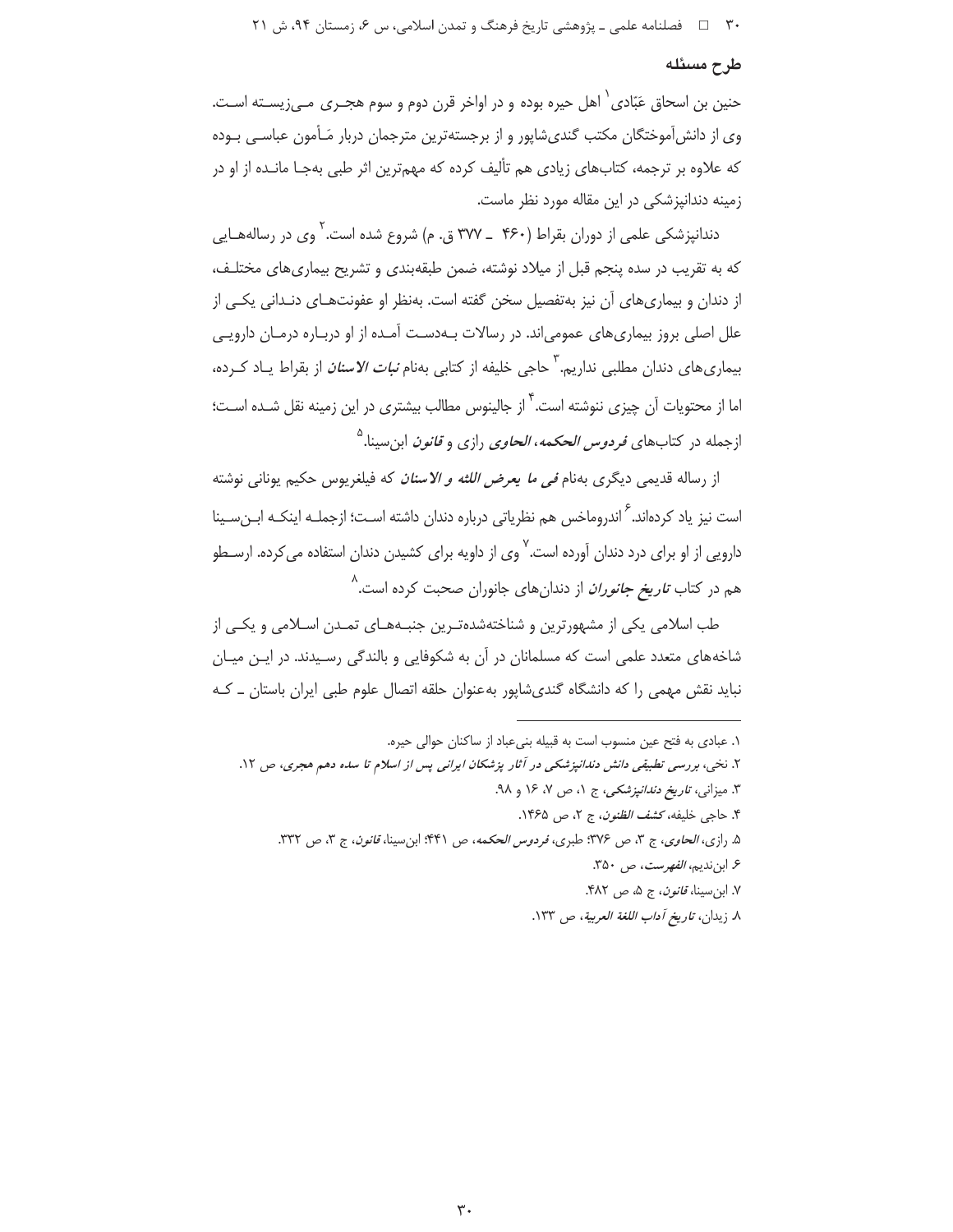۳۰ = د فصلنامه علمي ـ پژوهشي تاريخ فرهنگ و تمدن اسلامي، س ۶، زمستان ۹۴، ش ۲۱

## طرح مسئله

حنین بن اسحاق عَبّادی` اهل حیره بوده و در اواخر قرن دوم و سوم هجـری مـیزیســته اسـت. وی از دانش آموختگان مکتب گندی،ایور و از برجسته ترین مترجمان دربار مَـأمون عباسـی بـوده که علاوه بر ترجمه، کتابهای زیادی هم تألیف کرده که مهمترین اثر طبی بهجـا مانـده از او در زمینه دندانپزشکی در این مقاله مورد نظر ماست.

دندانیزشکی علمی از دوران بقراط (۴۶۰ \_ ۳۷۷ ق. م) شروع شده است. <sup>۱</sup> وی در رسالههـایی که به تقریب در سده پنجم قبل از میلاد نوشته، ضمن طبقهبندی و تشریح بیماریهای مختلـف، از دندان و بیماریهای آن نیز بهتفصیل سخن گفته است. بهنظر او عفونتهـای دنـدانی یکـی از علل اصلی بروز بیماریهای عمومی|ند. در رسالات بـهدسـت آمـده از او دربـاره درمـان دارویـی بیماری های دندان مطلبی نداریم. ٰ حاجی خلیفه از کتابی بهنام *نبات الاسنان* از بقراط پـاد کـرده، اما از محتویات آن چیزی ننوشته است.<sup>۳</sup> از جالینوس مطالب بیشتری در این زمینه نقل شـده اسـت؛ ازجمله در کتابهای *فردوس الحکمه، الحاوی* رازی و *قانون* ابن سینا.<sup>۵</sup>

از رساله قدیمی دیگری بهنام *فی ما یعرض اللثه و الاسنان* که فیلغریوس حکیم یونانی نوشته است نیز یاد کردهاند.<sup>۶</sup> اندروماخس هم نظریاتی درباره دندان داشته اسـت؛ ازجملـه اینکـه ابـنِسـینا دارویی از او برای درد دندان آورده است.<sup>۷</sup> وی از داویه برای کشیدن دندان استفاده می *ک*رده. ارسـطو هم در کتاب *تاریخ جانوران* از دندانهای جانوران صحبت کرده است.<sup>^</sup>

طب اسلامی یکی از مشهورترین و شناختهشدهتـرین جنبـههـای تمـدن اسـلامی و یکـی از شاخههای متعدد علمی است که مسلمانان در آن به شکوفایی و بالندگی رسیدند. در ایـن میـان نباید نقش مهمی را که دانشگاه گندیشاپور بهعنوان حلقه اتصال علوم طبی ایران باستان ـ کـه

۷. ابن سينا، *قانون*، ج ۵، ص ۴۸۲.

٨ زيدان، *تاريخ آداب اللغة العربية*، ص ١٣٣.

١. عبادى به فتح عين منسوب است به قبيله بنى عباد از ساكنان حوالى حيره.

۲. نخی، بررسی تطبیقی دانش دندانپزشکی در آثار پزشکان ایرانی پس از اسلام تا سده دهم هجری، ص ۱۲.

۳. میزان*ی، تاریخ دندانپزشکی، ج ۱، ص ۷، ۱۶* و ۹۸.

۴. حاجي خليفه، كشف *الظنون*، ج ٢، ص ١٤۶۵.

۵. رازي، *الحاوي*، ج ۳، ص ۳۷۶: طبري، *فردوس الحكمه*، ص ۴۴۱: ابن سينا، *قانون*، ج ۳، ص ۳۳۲.

۶. ابنندیم، *الفهرست*، ص ۳۵۰.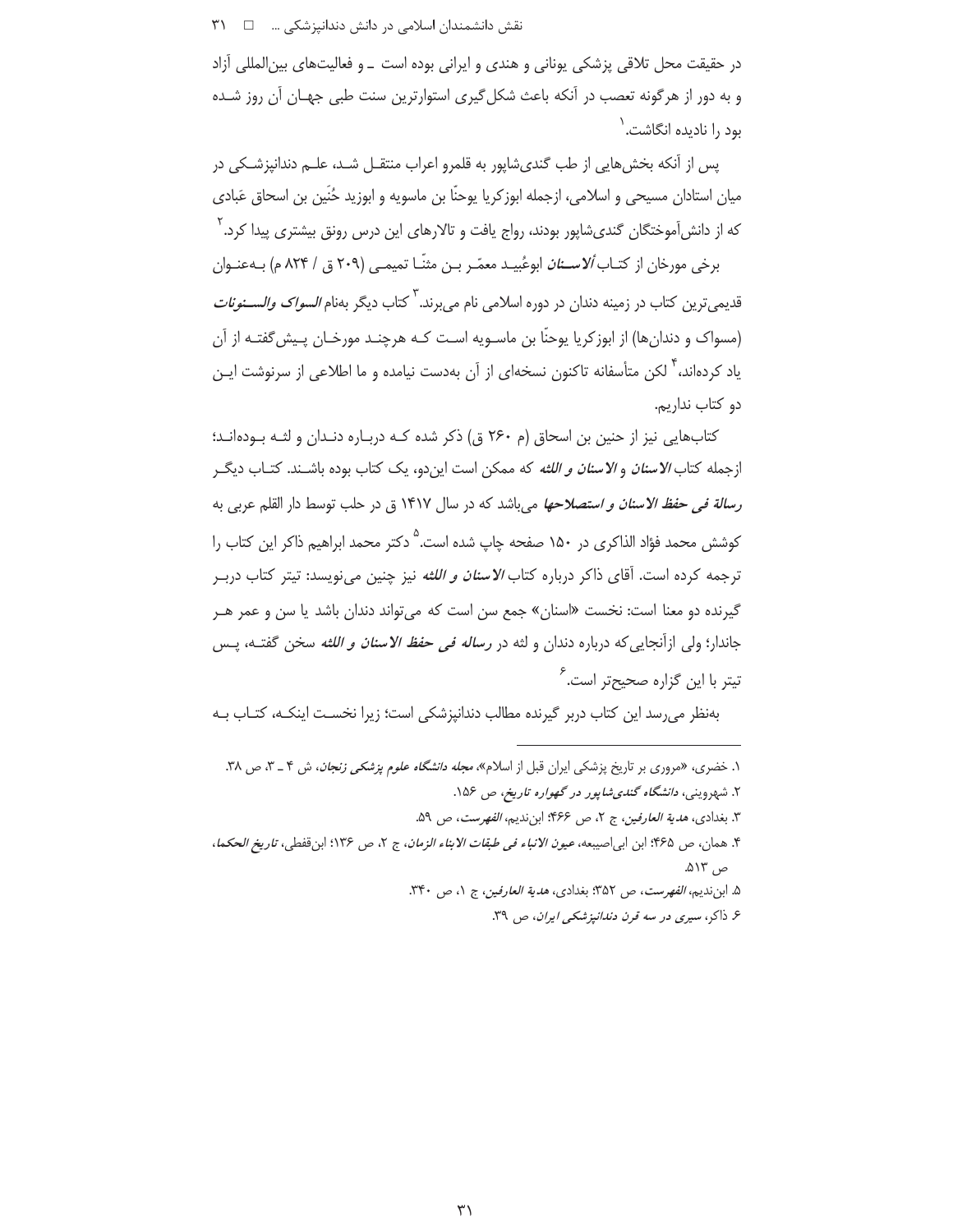در حقیقت محل تلاقی پزشکی یونانی و هندی و ایرانی بوده است \_ و فعالیتهای بین|لمللی أزاد و به دور از هرگونه تعصب در آنکه باعث شکل گیری استوارترین سنت طبی جهان آن روز شده ُ بود ,ا نادیده انگاشت.<sup>۱</sup>

پس از آنکه بخش هایی از طب گندیشاپور به قلمرو اعراب منتقـل شـد، علـم دندانپزشـکی در میان استادان مسیحی و اسلامی، ازجمله ابوزکریا یوحنّا بن ماسویه و ابوزید حُنّین بن اسحاق عَبادی که از دانش[موختگان گندیشاپور بودند، رواج یافت و تالارهای این درس رونق بیشتری پیدا کرد. ٰ

برخی مورخان از کتـاب *اُلاســنان* ابوعُبيـد معمّـر بـن مثنّـا تميمـي (٢٠٩ ق / ٨٢۴ م) بــهعنــوان قدیمیترین کتاب در زمینه دندان در دوره اسلامی نام میبرند.<sup>۳</sup> کتاب دیگر بهنام *السواک والســـنونات* (مسواک و دندانها) از ابوزکریا یوحنّا بن ماسـویه اسـت کـه هرچنـد مورخـان پـیش2فتـه از آن یاد کردهاند، ٌٔ لکن متأسفانه تاکنون نسخهای از آن بهدست نیامده و ما اطلاعی از سرنوشت ایـن دو كتاب نداريم.

کتابهایی نیز از حنین بن اسحاق (م ۲۶۰ ق) ذکر شده کـه دربـاره دنـدان و لثـه بـودهانـد؛ ازجمله کتاب *الاسنان و الاسنان و اللثه* که ممکن است ایندو، یک کتاب بوده باشــند. کتــاب دیگــر رسالة في حفظ الاسنان و استصلاحها مي باشد كه در سال ١۴١٧ ق در حلب توسط دار القلم عربي به کوشش محمد فؤاد الذاکری در ۱۵۰ صفحه چاپ شده است.<sup>۵</sup> دکتر محمد ابراهیم ذاکر این کتاب ۱٫ ترجمه کرده است. آقای ذاکر درباره کتاب *الاسنان و اللثه* نیز چنین می،نویسد: تیتر کتاب درب گیرنده دو معنا است: نخست «اسنان» جمع سن است که می تواند دندان باشد یا سن و عمر هـر جاندار؛ ولي ازآنجايي كه درباره دندان و لثه در *رساله في حفظ الاسنان و اللثه* سخن گفتــه، يــس تیتر با این گزاره صحیحتر است.<sup>۶</sup>

بەنظر می رسد این کتاب دربر گیرنده مطالب دندانپزشکی است؛ زیرا نخسـت اینکـه، کتـاب بـه

- ٣. بغدادي، *هدية العارفين*، ج ٢، ص ٣۶۶؛ ابننديم، *الفهرست*، ص ۵۹.
- ۴. همان، ص ۴۶۵؛ ابن ابي|صيبعه، *عيون الانباء في طبقات الابناء الزمان*، ج ۲، ص ۱۳۶؛ ابن قفطي، ت*اريخ الحكما*، ص ١٣۵.
	- ۵. ابننديم، *الفهرست، ص* ٣۵٢؛ بغدادي، *هدية العارفين*، ج ١، ص ٣۴٠.
		- ع ذاکر، سیری در سه قرن دن*دانپزشکی ایران*، ص ۳۹.

۱. خضری، «مروری بر تاریخ پزشکی ایران قبل از اسلام»، *مجله دانشگاه علوم پزشکی زنجان*، ش ۴ ـ ۳، ص ۳۸. ۲. شهروینی، د*انشگاه گندی شاپور در گهواره تاریخ*، ص ۱۵۶.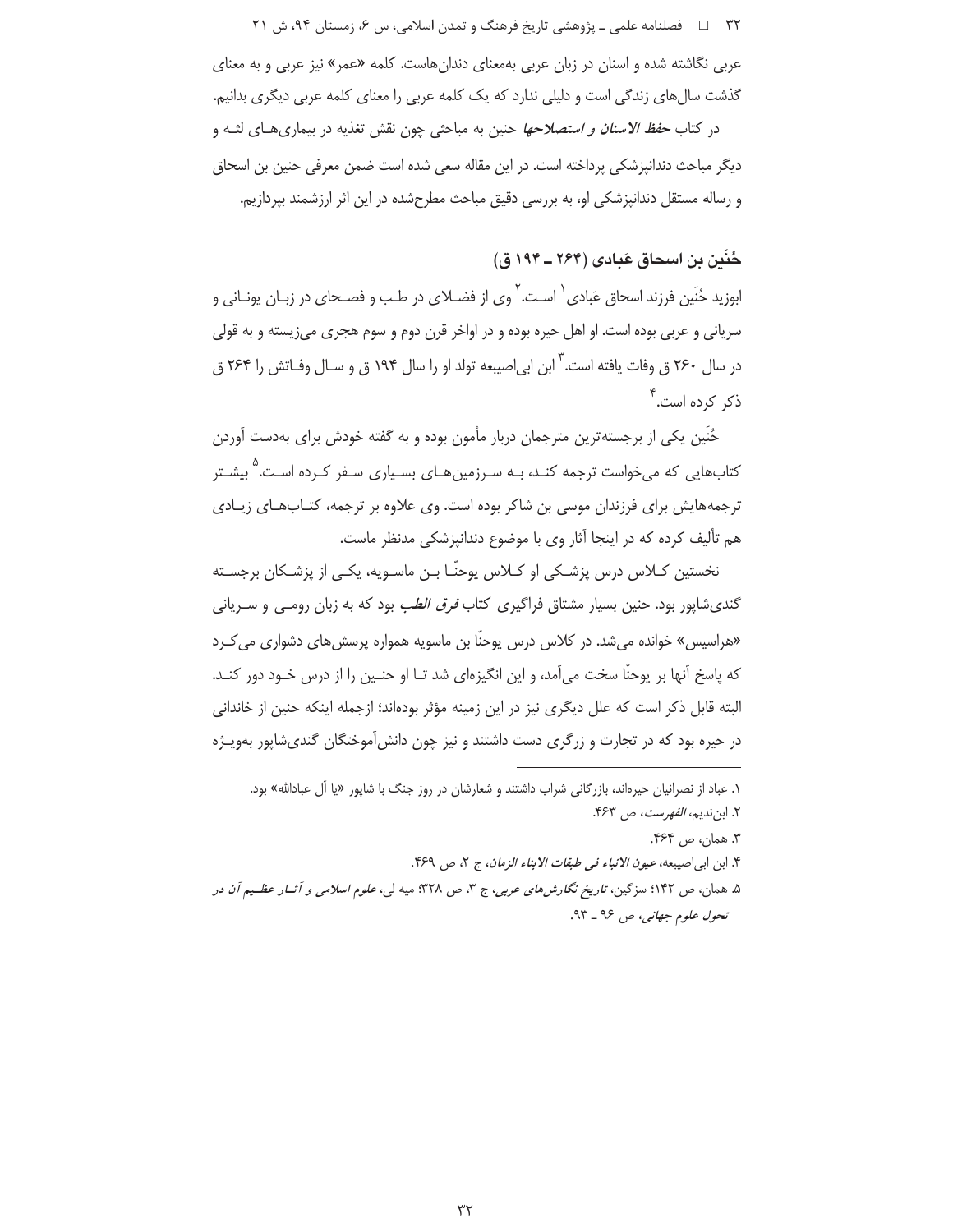۳۲ فصلنامه علمی ـ یژوهشی تاریخ فرهنگ و تمدن اسلامی، س ۶، زمستان ۹۴، ش ۲۱ عربی نگاشته شده و اسنان در زبان عربی بهمعنای دندانهاست. کلمه «عمر» نیز عربی و به معنای گذشت سال های زندگی است و دلیلی ندارد که یک کلمه عربی را معنای کلمه عربی دیگری بدانیم. در کتاب *حفظ الاسنان و استصلاحها* حنین به مباحثی چون نقش تغذیه در بیماری هـای لثـه و دیگر مباحث دندانپزشکی پرداخته است. در این مقاله سعی شده است ضمن معرفی حنین بن اسحاق و رساله مستقل دندانپزشکی او، به بررسی دقیق مباحث مطرحشده در این اثر ارزشمند بپردازیم.

حُنَسَ بن اسحاق عَبادي (۲۶۴ ــ ۱۹۴ ق)

ابوزید حُنَین فرزند اسحاق عَبادی <sup>۱</sup> اسـت. <sup>۲</sup> وی از فضــلای در طـب و فصـحای در زبــان یونــانی و سریانی و عربی بوده است. او اهل حیره بوده و در اواخر قرن دوم و سوم هجری میزیسته و به قولی در سال ۲۶۰ ق وفات یافته است. ٌ ابن ابی|صیبعه تولد او را سال ۱۹۴ ق و سـال وفـاتش را ۲۶۴ ق ذکر کردہ است. ؑ

حُنَين يكي از برجسته ترين مترجمان دربار مأمون بوده و به گفته خودش براي بهدست آوردن کتابهایی که می خواست ترجمه کنـد، بـه سـرزمین هـای بسـباری سـفر کـرده اسـت.<sup>۵</sup> بیشـتر ترجمههایش برای فرزندان موسی بن شاکر بوده است. وی علاوه بر ترجمه، کتـابـهـای زیـادی هم تألیف کرده که در اینجا آثار وی با موضوع دندانپزشکی مدنظر ماست.

نخستین کـلاس درس پزشـکی او کـلاس یوحنّـا بـن ماسـویه، یکـی از پزشـکان برجسـته گندیشاپور بود. حنین بسیار مشتاق فراگیری کتاب *فرق الطب* بود که به زبان رومـی و سـریانی «هراسیس» خوانده می شد. در کلاس درس یوحنّا بن ماسویه همواره پرسش های دشواری می کـرد که پاسخ آنها بر یوحنّا سخت می آمد، و این انگیزهای شد تـا او حنـین را از درس خـود دور کنـد. البته قابل ذکر است که علل دیگری نیز در این زمینه مؤثر بودهاند؛ ازجمله اینکه حنین از خاندانی در حیره بود که در تجارت و زرگری دست داشتند و نیز چون دانش آموختگان گندیشاپور بهویـژه

۳. همان، ص ۴۶۴.

- ۴. ابن ابي اصيبعه، عي*ون الانباء في طبقات الابناء الزمان*، ج ٢، ص ۴۶۹.
- ۵. همان، ص ۱۴۲؛ سزگین، *تاریخ نگارشهای عربی*، ج ۳، ص ۳۲۸؛ میه لی، *علوم اسلامی و آثــار عظــیم آن در* تحول علوم جهاني، ص ٩۶ ـ ٩٣.

۱. عباد از نصرانیان حیرهاند، بازرگانی شراب داشتند و شعارشان در روز جنگ با شاپور «یا آل عبادالله» بود. ٢. ابننديم، *الفهرست*، ص ٣۶٣.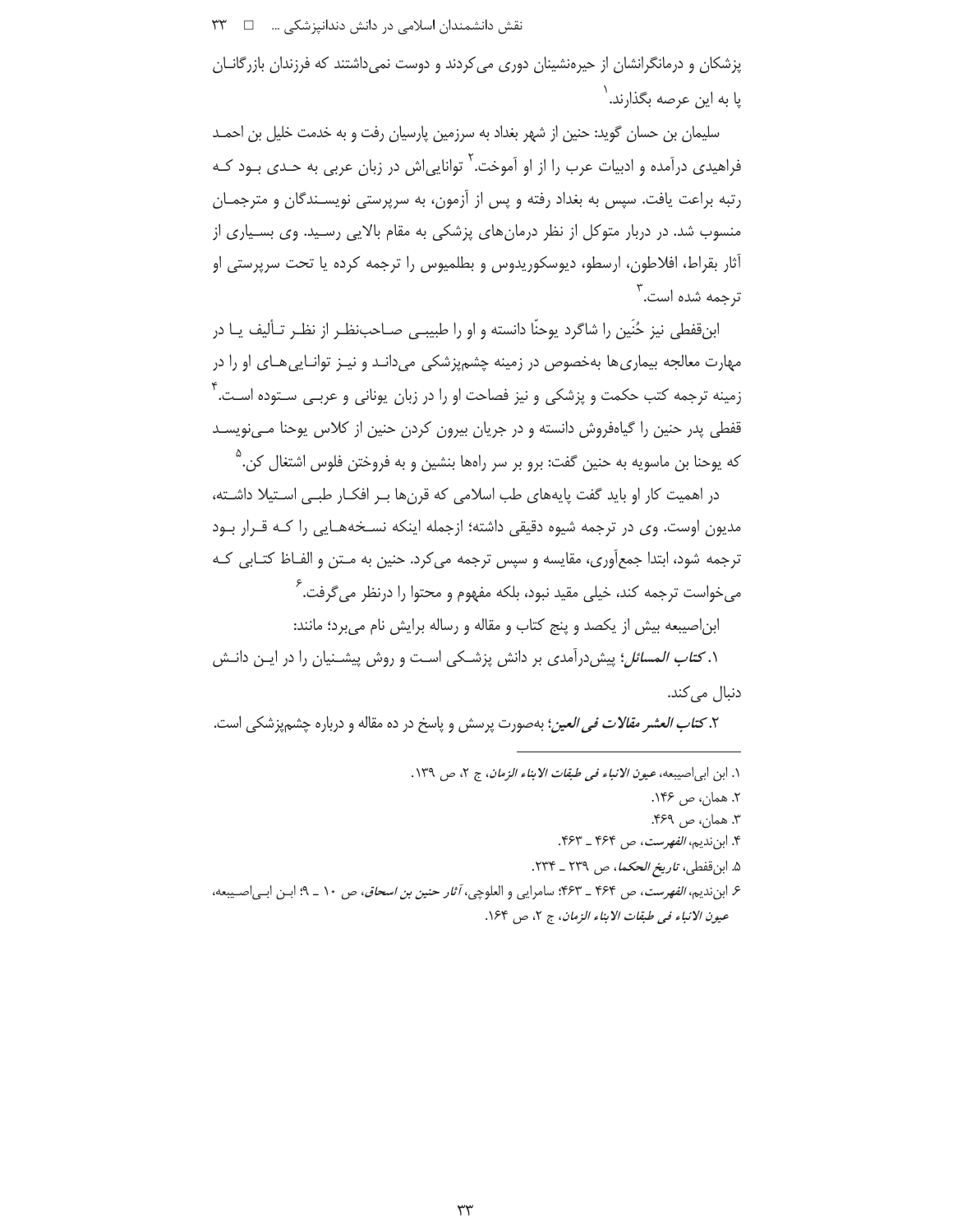پزشکان و درمانگرانشان از حیرهنشینان دوری می کردند و دوست نمیداشتند که فرزندان بازرگانـان يا به اين عرصه بگذارند. '

سلیمان بن حسان گوید: حنین از شهر بغداد به سرزمین پارسیان رفت و به خدمت خلیل بن احمـد فراهیدی درآمده و ادبیات عرب را از او آموخت.<sup>۲</sup> توانایی|ش در زبان عربی به *حـدی* بــود کــه رتبه براعت یافت. سپس به بغداد رفته و پس از آزمون، به سرپرستی نویسـندگان و مترجمـان منسوب شد. در دربار متوکل از نظر درمانهای پزشکی به مقام بالایی رسید. وی بسیاری از آثار بقراط، افلاطون، ارسطو، دیوسکوریدوس و بطلمیوس را ترجمه کرده یا تحت سرپرستی او ترجمه شده است. ٔ

ابن قفطي نيز حُنَين را شاگرد پوحنّا دانسته و او را طبيبـي صـاحبِنظـر از نظـر تـأليف پــا در مهارت معالجه بیماری ها بهخصوص در زمینه چشم.پزشکی می دانـد و نیـز توانـایی هـای او را در زمینه ترجمه کتب حکمت و پزشکی و نیز فصاحت او را در زبان یونانی و عربـی سـتوده اسـت. ٔ قفطی پدر حنین را گیاهفروش دانسته و در جریان بیرون کردن حنین از کلاس پوحنا مے،نویسـد که پوحنا بن ماسویه به حنین گفت: برو بر سر راهها بنشین و به فروختن فلوس اشتغال کن.<sup>۵</sup>

در اهمیت کار او باید گفت پایههای طب اسلامی که قرنها بـر افکـار طبـی اسـتیلا داشـته، مدیون اوست. وی در ترجمه شیوه دقیقی داشته؛ ازجمله اینکه نسـخههـایی را کـه قـرار بـود ترجمه شود، ابتدا جمعآوري، مقايسه و سپس ترجمه مي كرد. حنين به مـتن و الفـاظ كتـابي كـه می خواست ترجمه کند، خیلی مقید نبود، بلکه مفهوم و محتوا را درنظر می *گ*رفت. <sup>7</sup>

ابن|صیبعه بیش از یکصد و پنج کتاب و مقاله و رساله برایش نام می برد؛ مانند:

۱. *کتاب المسائل*؛ پیشدرآمدی بر دانش پزشـکی اسـت و روش پیشـنیان را در ایـن دانـش دنبال می کند.

۲. *کتاب العشر مقالات في العين*؛ بهصورت پرسش و پاسخ در ده مقاله و درباره چش<u>م پز</u>شکي است.

- ١. ابن ابي اصيبعه، عي*ون الانباء في طبقات الابناء الزمان*، ج ٢، ص ١٣٩.
	- ٢. همان، ص ١۴۶.
	- ٣. همان، ص ۴۶۹.
	- ۴. ابننديم، *الفهرست*، ص ۴۶۴ ـ ۴۶۳.
	- ۵. ابن قفطی، تاری*خ الحکما*، ص ۲۳۹ \_ ۲۳۴.
- ۶. ابننديم، *الفهرست*، ص ۴۶۴ ـ ۴۶۳: سامرايي و العلوچي، *آثار حنين بن اسحاق*، ص ۱۰ ـ ۹؛ ابـن ابـي|صـيبعه، عيون الانباء في طبقات الابناء الزمان، ج ٢، ص ١۶۴.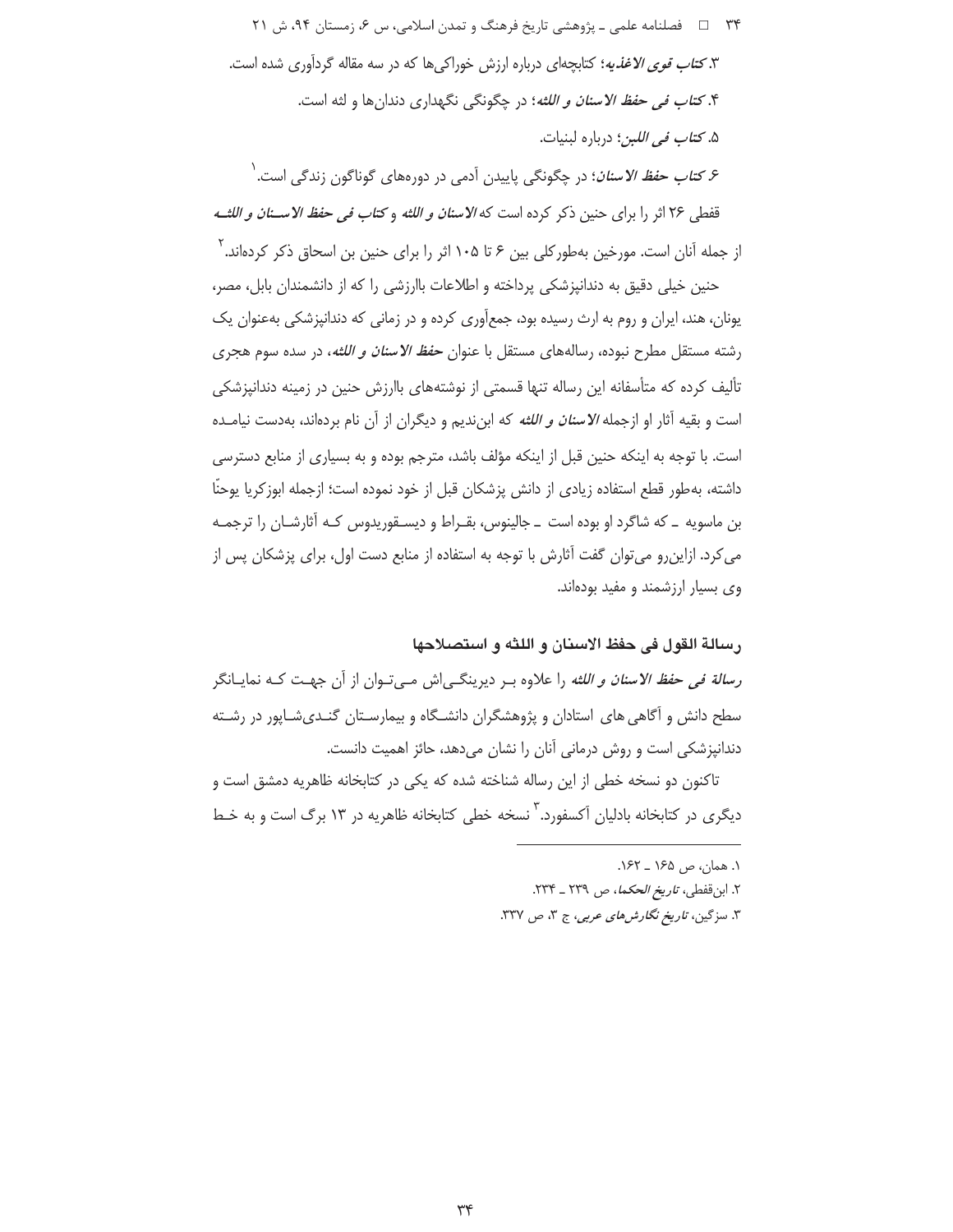۳۴ = = فصلنامه علمي ـ یژوهشي تاریخ فرهنگ و تمدن اسلامي، س ۶، زمستان ۹۴، ش ۲۱ ۳.کت*اب قوی الاغذیه*؛ کتابچهای درباره ارزش خوراک<sub>ی</sub>ها که در سه مقاله گردآوری شده است. ۴. *کتاب في حفظ الاسنان و اللثه*؛ در چگونگي نگهداري دندانها و لثه است. ۵. كت*اب في اللبن*؛ درباره لبنيات.

۶ *کتاب حفظ الاسنان*؛ در چگونگی پاییدن آدمی در دورههای گوناگون زندگی است. <sup>۱</sup> قفطي ٢۶ اثر را براي حنين ذكر كرده است كه *الاسنان و اللثه* و *كتاب في حفظ الاســنان و اللثــه* از جمله آنان است. مورخین بهطورکلی بین ۶ تا ۱۰۵ اثر را برای حنین بن اسحاق ذکر کردهاند.<sup>۲</sup>

حنین خیلی دقیق به دندانیزشکی پرداخته و اطلاعات باارزشی را که از دانشمندان بابل، مصر، یونان، هند، ایران و روم به ارث رسیده بود، جمعآوری کرده و در زمانی که دندانپزشکی بهعنوان یک رشته مستقل مطرح نبوده، رسالههای مستقل با عنوان *حفظ الاسنان و اللثه*، در سده سوم هجری تألیف کرده که متأسفانه این رساله تنها قسمتی از نوشتههای باارزش حنین در زمینه دندانپزشکی است و بقیه آثار او ازجمله *الاسنان و اللثه* که ابن ندیم و دیگران از آن نام بردهاند، بهدست نیامـده است. با توجه به اینکه حنین قبل از اینکه مؤلف باشد، مترجم بوده و به بسیاری از منابع دسترسی داشته، بهطور قطع استفاده زيادي از دانش پزشكان قبل از خود نموده است؛ ازجمله ابوزكريا يوحنّا بن ماسویه \_ که شاگرد او بوده است \_ جالینوس، بقـراط و دیسـقوریدوس کـه آثارشـان را ترجمـه می کرد. ازاین رو می توان گفت آثارش با توجه به استفاده از منابع دست اول، برای پزشکان پس از وی بسیار ارزشمند و مفید بودهاند.

#### رسالة القول في حفظ الاسنان و اللثه و استصلاحها

ر*سالة في حفظ الاسنان و اللثه* را علاوه بـر ديرينگــي\ش مــي تــوان از آن جهــت كــه نمايــانگر سطح دانش و آگاهی های استادان و پژوهشگران دانشگاه و بیمارسـتان گنـدیشـاپور در رشـته دندانپزشکی است و روش درمانی آنان را نشان میدهد، حائز اهمیت دانست.

تاکنون دو نسخه خطی از این رساله شناخته شده که یکی در کتابخانه ظاهریه دمشق است و دیگری در کتابخانه بادلیان آکسفورد. ٌ نسخه خطی کتابخانه ظاهریه در ۱۳ برگ است و به خـط

١. همان، ص ١۶۵ \_ ١۶٢.

٢. ابن قفطي، ت*اريخ الحكما*، ص ٢٣٩ ـ ٢٣۴.

٣. سزگین، ت*اریخ نگارش های عربی*، ج ٣، ص ٣٢٧.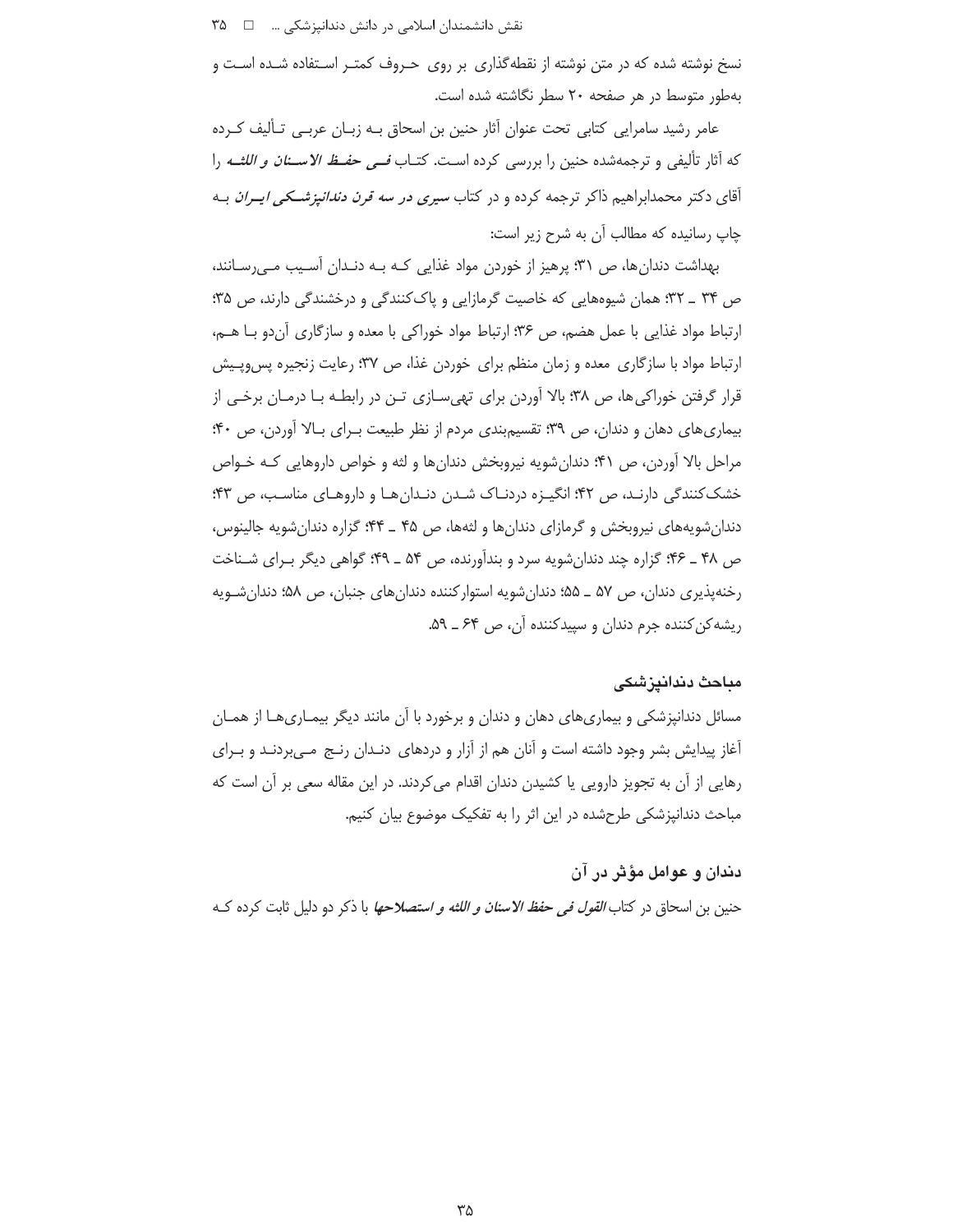نسخ نوشته شده که در متن نوشته از نقطهگذاری بر روی حـروف کمتـر اسـتفاده شـده اسـت و بهطور متوسط در هر صفحه ۲۰ سطر نگاشته شده است.

عامر رشید سامرایی کتابی تحت عنوان آثار حنین بن اسحاق بـه زبـان عربـی تـألیف کـرده كه آثار تأليفي و ترجمهشده حنين را بررسي كرده است. كتـاب *فــي حفـظ الاســنان و اللثــه* را آقای دکتر محمدابراهیم ذاکر ترجمه کرده و در کتاب *سیری در سه قرن دندانیزشــکی ایــران* بــه جاب رسانیده که مطالب آن به شرح زیر است:

بهداشت دندان ها، ص ۳۱؛ پرهیز از خوردن مواد غذایی کـه بـه دنـدان آسـیب مـی رسـانند، ص ۳۴ \_ ۳۲؛ همان شیوههایی که خاصیت گرمازایی و پاککنندگی و درخشندگی دارند، ص ۳۵؛ ارتباط مواد غذایی با عمل هضم، ص ۳۶؛ ارتباط مواد خوراکی با معده و سازگاری آن دو بـا هــم، ارتباط مواد با سازگاری معده و زمان منظم برای خوردن غذا، ص ۳۷؛ رعایت زنجیره پس وییش قرار گرفتن خوراکی ها، ص ۳۸؛ بالا آوردن برای تهی سـازی تـن در رابطـه بـا درمـان برخـی از بیماری های دهان و دندان، ص ۳۹: تقسیم بندی مردم از نظر طبیعت بـرای بـالا آوردن، ص ۴۰: مراحل بالا آوردن، ص ۴۱؛ دندان شویه نیروبخش دندان ها و لثه و خواص داروهایی کـه خـواص خشک کنندگی دارنـد، ص ۴۲؛ انگیـزه دردنـاک شـدن دنـدانهـا و داروهـای مناسـب، ص ۴۳؛ دندان شویههای نیروبخش و گرمازای دندانها و لثهها، ص ۴۵ ـ ۴۴: گزاره دندان شویه جالینوس، ص ۴۸ ـ ۴۶؛ گزاره چند دندانشویه سرد و بندآورنده، ص ۵۴ ـ ۴۹؛ گواهی دیگر بـرای شـناخت رخنهپذیری دندان، ص ۵۷ ــ ۵۵؛ دندانشویه استوارکننده دندانهای جنبان، ص ۵۸؛ دندانشـویه ریشه کن کننده جرم دندان و سپیدکننده آن، ص ۶۴ ــ ۵۹.

#### مباحث دندانيزشكى

مسائل دندانپزشکی و بیماریهای دهان و دندان و برخورد با آن مانند دیگر بیمـاریهـا از همـان آغاز پیدایش بشر وجود داشته است و آنان هم از آزار و دردهای دنـدان رنـج مـیبردنـد و بـرای رهایی از آن به تجویز دارویی یا کشیدن دندان اقدام می کردند. در این مقاله سعی بر آن است که مباحث دندانیزشکی طرحشده در این اثر را به تفکیک موضوع بیان کنیم.

دندان و عوامل مؤثر در آن حنين بن اسحاق در كتا*ب القول في حفظ الاسنان و اللثه و استصلاحها* با ذكر دو دليل ثابت كرده كـه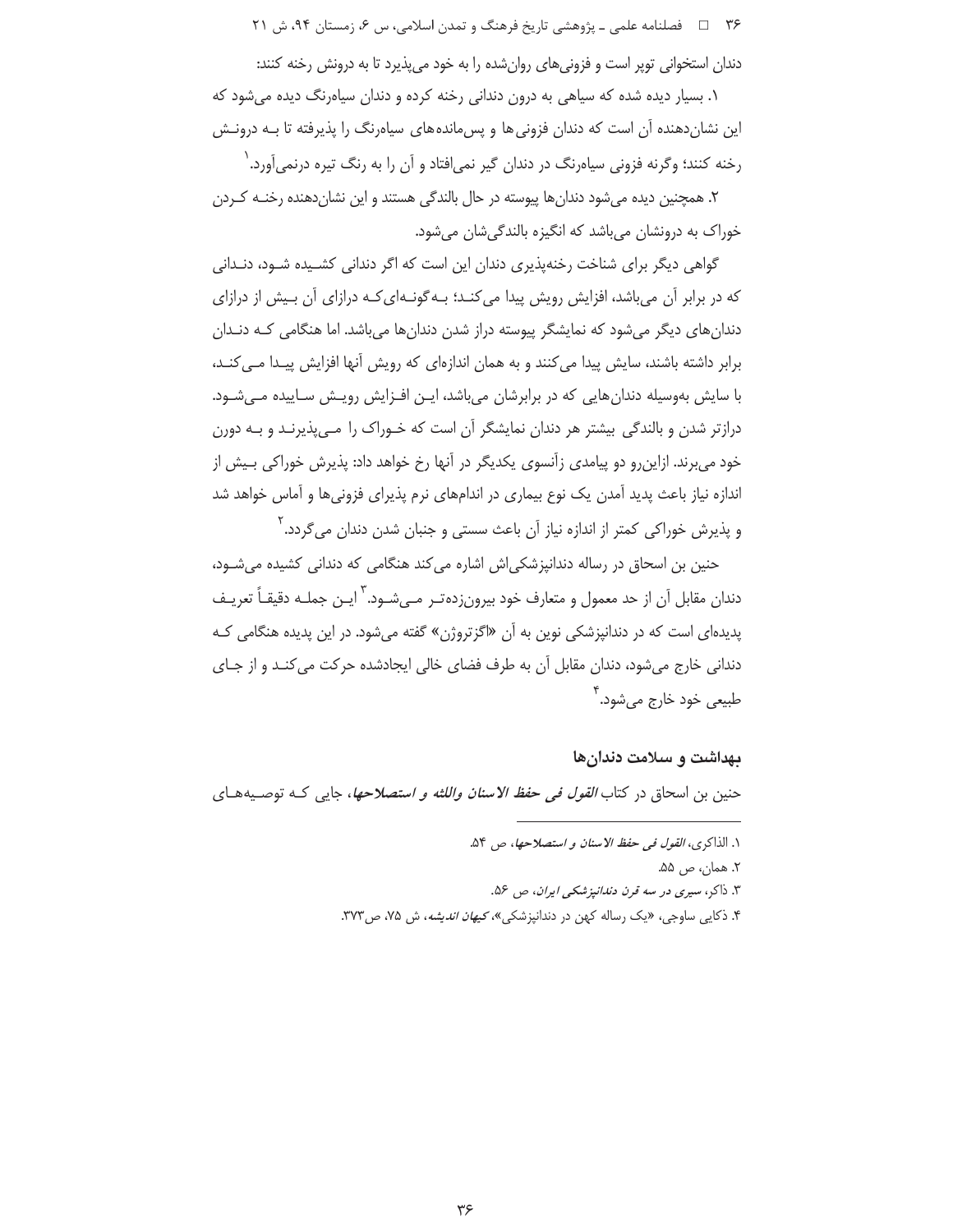۳۶ = د فصلنامه علمي ـ یژوهشي تاریخ فرهنگ و تمدن اسلامي، س ۶، زمستان ۹۴، ش ۲۱

دندان استخوانی توپر است و فزونیهای روانشده را به خود میپذیرد تا به درونش رخنه کنند:

۱. بسیار دیده شده که سیاهی به درون دندانی رخنه کرده و دندان سیاهرنگ دیده می شود که این نشاندهنده آن است که دندان فزونی ها و پسءاندههای سیاهرنگ را پذیرفته تا بـه درونـش رخنه کنند؛ وگرنه فزونی سیاهرنگ در دندان گیر نمی|فتاد و آن را به رنگ تیره درنمی|َورد. ٰ

۲. همچنین دیده می شود دندان ها پیوسته در حال بالندگی هستند و این نشان دهنده رخنـه کـردن خوراک به درونشان میباشد که انگیزه بالندگیشان میشود.

گواهی دیگر برای شناخت رخنهپذیری دندان این است که اگر دندانی کشـیده شـود، دنـدانی که در برابر آن میباشد، افزایش رویش پیدا میکنـد؛ بـهگونـهایکـه درازای آن بـیش از درازای دندانهای دیگر میشود که نمایشگر پیوسته دراز شدن دندانها میباشد. اما هنگامی کـه دنـدان برابر داشته باشند، سایش پیدا می کنند و به همان اندازهای که رویش آنها افزایش پیـدا مـی کنـد، با سایش بهوسیله دندان هایی که در برابرشان می باشد، ایـن افـزایش رویـش سـاییده مـی شـود. درازتر شدن و بالندگی بیشتر هر دندان نمایشگر آن است که خـوراک را مـیپذیرنـد و بـه دورن خود می برند. ازاین رو دو پیامدی زآنسوی یکدیگر در آنها رخ خواهد داد: پذیرش خوراکی بـیش از اندازه نیاز باعث پدید آمدن یک نوع بیماری در اندامهای نرم پذیرای فزونیها و آماس خواهد شد و پذیرش خوراکی کمتر از اندازه نیاز آن باعث سستی و جنبان شدن دندان می $\xi$ ردد.  $'$ 

حنین بن اسحاق در رساله دندانپزشکی اش اشاره می کند هنگامی که دندانی کشیده میشود، دندان مقابل آن از حد معمول و متعارف خود بیرونزده تـر مـی،شـود. <sup>۳</sup>ایـن جملـه دقیقـاً تعریـف پدیدهای است که در دندانپزشکی نوین به آن «اگزتروژن» گفته می شود. در این پدیده هنگامی ک دندانی خارج میشود، دندان مقابل آن به طرف فضای خالی ایجادشده حرکت می کنـد و از جـای طبيعي خود خارج مي شود. <sup>'</sup>

#### بهداشت و سلامت دندان *ه*ا

حنين بن اسحاق در كتاب *القول في حفظ الاسنان واللثه و استصلاحها*، جاي<sub>ى</sub> كــه توصـيههــاي

١. الذاكرى، *القول في حفظ الاسنان و استصلاحها*، ص ٥۴. ۲. همان، ص ۵۵. ۳. ذاکر، سیری در سه قرن دن*دانپزشکی ایران*، ص ۵۶. ۴. ذکایی ساوجی، «یک رساله کهن در دندانپزشکی»، *کیهان اندیشه*، ش ۷۵، ص۳۷۳.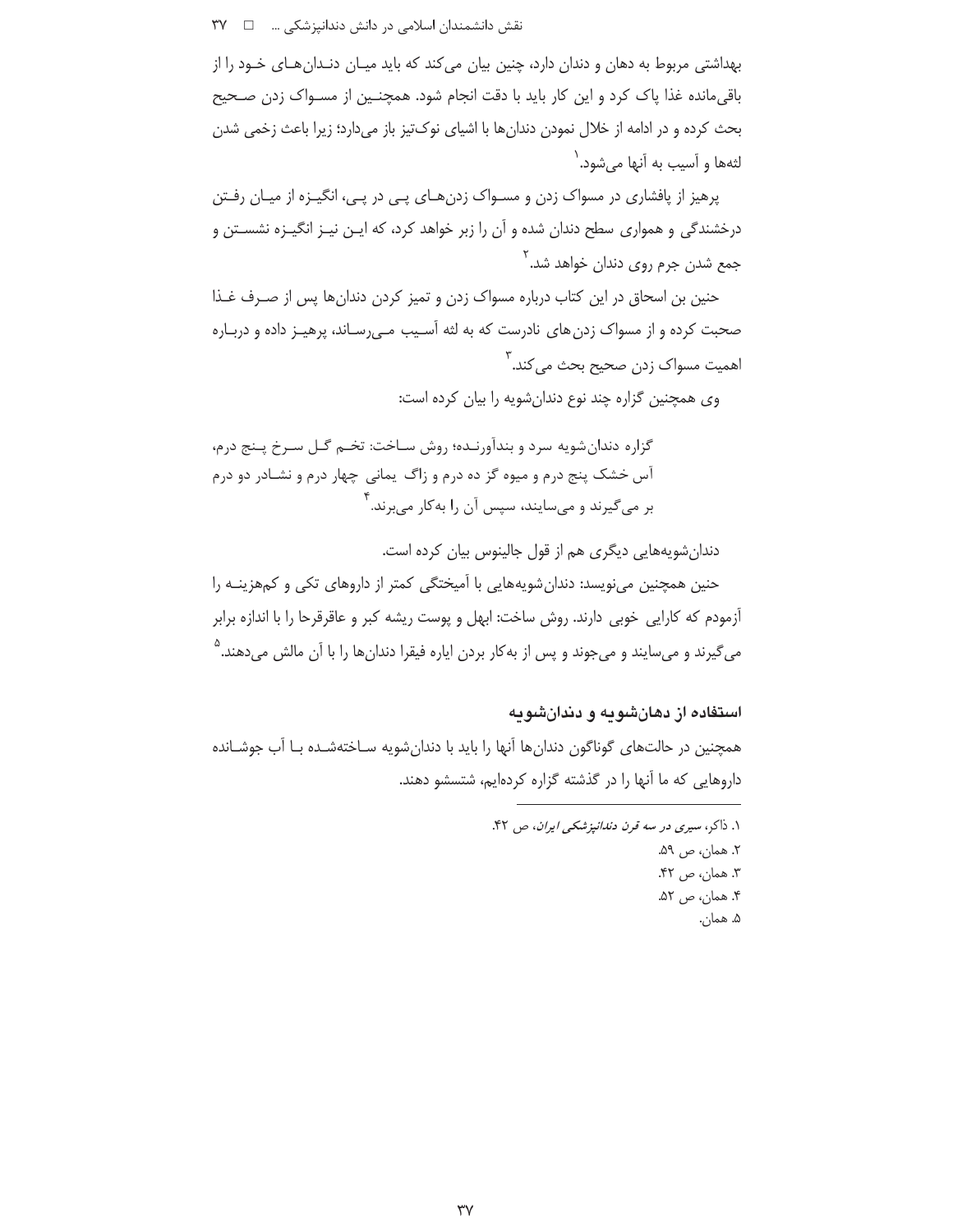بهداشتی مربوط به دهان و دندان دارد، چنین بیان می کند که باید میـان دنـدان هـای خـود را از باقی،مانده غذا یاک کرد و این کار باید با دقت انجام شود. همچنـین از مسـواک زدن صـحیح بحث كرده و در ادامه از خلال نمودن دندانها با اشياى نوكتيز باز مىدارد؛ زيرا باعث زخمى شدن لثهها و آسیب به آنها می شود. `

یرهیز از یافشاری در مسواک زدن و مسـواک زدن هـای یـی در یـی، انگیـزه از میـان رفـتن درخشندگی و همواری سطح دندان شده و آن را زبر خواهد کرد، که ایـن نیـز انگیـزه نشسـتن و جمع شدن جرم روی دندان خواهد شد.<sup>۲</sup>

حنین بن اسحاق در این کتاب درباره مسواک زدن و تمیز کردن دندان ها پس از صـرف غـذا صحبت کرده و از مسواک زدن های نادرست که به لثه آسـیب مـی٫سـاند، پرهیـز داده و دربـاره اهمیت مسواک زدن صحیح بحث م<sub>ی</sub> کند.<sup>۳</sup>

وی همچنین گزاره چند نوع دندان شویه را بیان کرده است:

گزاره دندان شويه سرد و بندآورنـده؛ روش سـاخت: تخـم گـل سـرخ پـنج درم، آس خشک پنج درم و میوه گز ده درم و زاگ یمانی چهار درم و نشـادر دو درم بر میگیرند و میسایند، سپس آن را بهکار میبرند.<sup>۴</sup>

دندان شویههایی دیگری هم از قول جالینوس بیان کرده است.

حنین همچنین مینویسد: دندانشویههایی با آمیختگی کمتر از داروهای تکی و کمهزینـه را آزمودم که کارایی خوبی دارند. روش ساخت: ابهل و پوست ریشه کبر و عاقرقرحا را با اندازه برابر میگیرند و میسایند و میجوند و پس از بهکار بردن ایاره فیقرا دندانها را با آن مالش میدهند.<sup>۵</sup>

استفاده از دهانشویه و دندانشویه

همچنین در حالتهای گوناگون دندانها آنها را باید با دندان شویه سـاختهشـده بـا آب جوشـانده داروهایی که ما آنها را در گذشته گزاره کردهایم، شتسشو دهند.

> ١. ذاكر، سيرى در سه قرن دندانيزشكى ايران، ص ۴۲. ٢. همان، ص ٥٩. ٣. همان، ص ۴۲. ۴. همان، ص ۵۲. ۵. همان.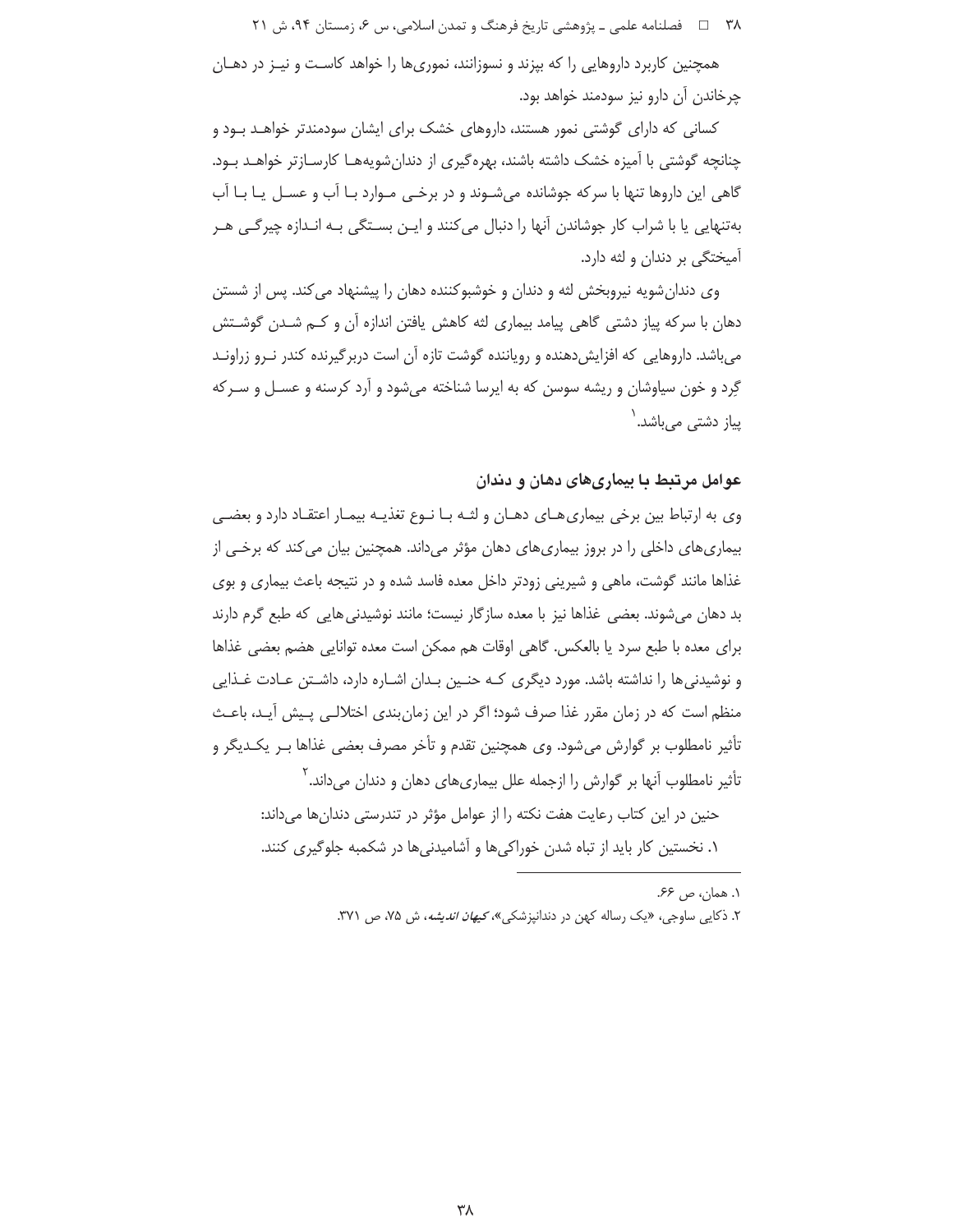۳۸ = داخصلنامه علمی ـ پژوهشی تاریخ فرهنگ و تمدن اسلامی، س ۶، زمستان ۹۴، ش ۲۱

همچنین کاربرد داروهایی را که بپزند و نسوزانند، نموریها را خواهد کاست و نیـز در دهــان چرخاندن آن دارو نيز سودمند خواهد بود.

کسانی که دارای گوشتی نمور هستند، داروهای خشک برای ایشان سودمندتر خواهـد بـود و چنانچه گوشتی با آمیزه خشک داشته باشند، بهرهگیری از دندان شویههـا کارسـازتر خواهــد بــود. گاهی این داروها تنها با سرکه جوشانده میشـوند و در برخـی مـوارد بـا آب و عسـل یـا بـا آب بهتنهایی یا با شراب کار جوشاندن آنها را دنبال می کنند و ایــن بسـتگی بـه انـدازه چیرگـی هــر آمیختگی بر دندان و لثه دارد.

وی دندان شویه نیروبخش لثه و دندان و خوشبوکننده دهان را پیشنهاد می کند. پس از شستن دهان با سرکه پیاز دشتی گاهی پیامد بیماری لثه کاهش یافتن اندازه اُن و کــم شــدن گوشــتش می باشد. داروهایی که افزایش دهنده و رویاننده گوشت تازه آن است دربرگیرنده کندر نـرو زراونـد گِرد و خون سیاوشان و ریشه سوسن که به ایرسا شناخته میشود و آرد کرسنه و عسـل و سـرکه پیاز دشت*ی* میباشد.<sup>\</sup>

### عوامل مرتبط با بیماریهای دهان و دندان

وی به ارتباط بین برخی بیماری هـای دهـان و لثـه بـا نـوع تغذیـه بیمـار اعتقـاد دارد و بعضـی بیماریهای داخلی را در بروز بیماریهای دهان مؤثر میداند. همچنین بیان می کند که برخـی از غذاها مانند گوشت، ماهی و شیرینی زودتر داخل معده فاسد شده و در نتیجه باعث بیماری و بوی بد دهان میشوند. بعضی غذاها نیز با معده سازگار نیست؛ مانند نوشیدنی هایی که طبع گرم دارند براي معده با طبع سرد يا بالعكس. گاهي اوقات هم ممكن است معده توانايي هضم بعضي غذاها و نوشیدنی ها را نداشته باشد. مورد دیگری کـه حنـین بـدان اشـاره دارد، داشـتن عـادت غـذایی منظم است که در زمان مقرر غذا صرف شود؛ اگر در این زمان بندی اختلالـی پـیش آیـد، باعـث تأثیر نامطلوب بر گوارش می شود. وی همچنین تقدم و تأخر مصرف بعضی غذاها بـر یکـدیگر و تأثیر نامطلوب آنها بر گوارش را ازجمله علل بیماریهای دهان و دندان میداند. `

حنین در این کتاب رعایت هفت نکته را از عوامل مؤثر در تندرستی دندانها میداند: ۱. نخستین کار باید از تباه شدن خوراکیها و آشامیدنیها در شکمبه جلوگیری کنند.

> ١. همان، ص ۶۶. ۲. ذکایی ساوجی، «یک رساله کهن در دندانپزشکی»، *کیهان اندیشه*، ش ۷۵، ص ۳۷۱.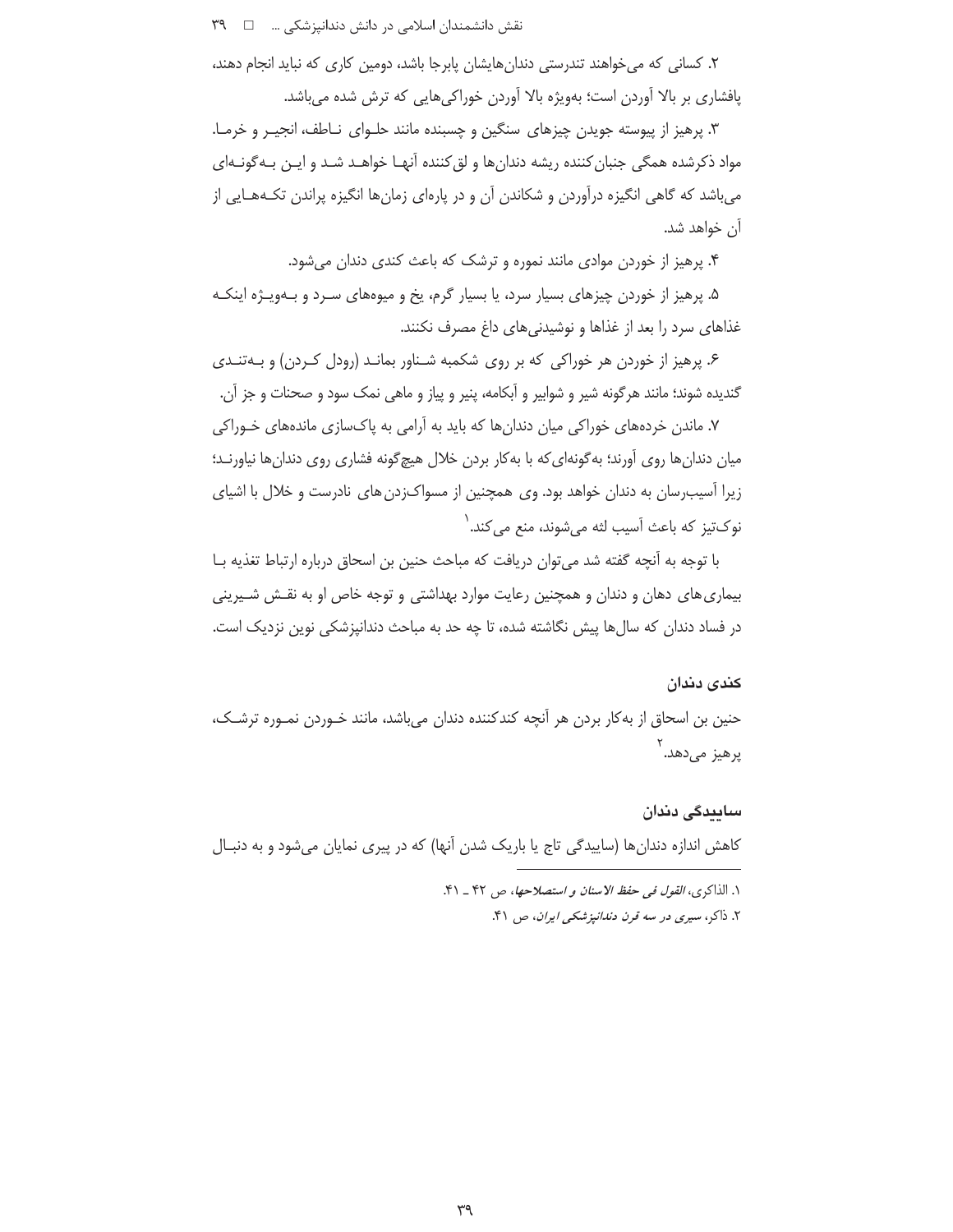۲. کسانی که میخواهند تندرستی دندانهایشان پابرجا باشد، دومین کاری که نباید انجام دهند، پافشاری بر بالا آوردن است؛ بهویژه بالا آوردن خوراکیهایی که ترش شده میباشد.

۳. پرهیز از پیوسته جویدن چیزهای سنگین و چسبنده مانند حلـوای نـاطف، انجیـر و خرمـا. مواد ذکرشده همگی جنبان کننده ریشه دندان ها و لق کننده آنهـا خواهـد شـد و ایـن بـه گونـهای میباشد که گاهی انگیزه درآوردن و شکاندن آن و در پارهای زمانها انگیزه پراندن تکـههـایی از آن خواهد شد**.** 

۴. پرهیز از خوردن موادی مانند نموره و ترشک که باعث کندی دندان می شود.

۵. پرهيز از خوردن چيزهاي بسيار سرد، يا بسيار گرم، پخ و ميوههاي سـرد و بـهويـژه اينكـه غذاهای سرد را بعد از غذاها و نوشیدنیهای داغ مصرف نکنند.

۶. یرهیز از خوردن هر خوراکی که بر روی شکمبه شناور بمانـد (رودل کـردن) و بـهتنـدی گنديده شوند؛ مانند هرگونه شير و شوابير و اّبكامه، پنير و پياز و ماهي نمک سود و صحنات و جز اّن.

۷. ماندن خردههای خوراکی میان دندانها که باید به آرامی به پاکسازی ماندههای خـوراکی میان دندان ها روی آورند؛ به گونهای که با به کار بردن خلال هیچ گونه فشاری روی دندان ها نیاورنـد؛ زیرا آسیب٫سان به دندان خواهد بود. وی همچنین از مسواکزدن های نادرست و خلال با اشیای ِنوکتيز که باعث آسيب لثه مي شوند، منع مي کند.<sup>\</sup>

با توجه به آنچه گفته شد می توان دریافت که مباحث حنین بن اسحاق درباره ارتباط تغذیه بـا بیماری های دهان و دندان و همچنین رعایت موارد بهداشتی و توجه خاص او به نقـش شـیرینی در فساد دندان که سالها پیش نگاشته شده، تا چه حد به مباحث دندانیزشکی نوین نزدیک است.

#### كندى دندان

حنین بن اسحاق از به کار بردن هر آنچه کندکننده دندان میباشد، مانند خـوردن نمـوره ترشـک، پرهيز ميدهد.<sup>۲</sup>

سايىدگى دندان کاهش اندازه دندانها (ساییدگی تاج یا باریک شدن آنها) که در پیری نمایان میشود و به دنبـال

> ١. الذاكرى، *القول في حفظ الاسنان و استصلاحها*، ص ۴۲ \_ ۴۱. ۲. ذاکر، سیری در سه قرن دندانپزشکی ایران، ص ۴۱.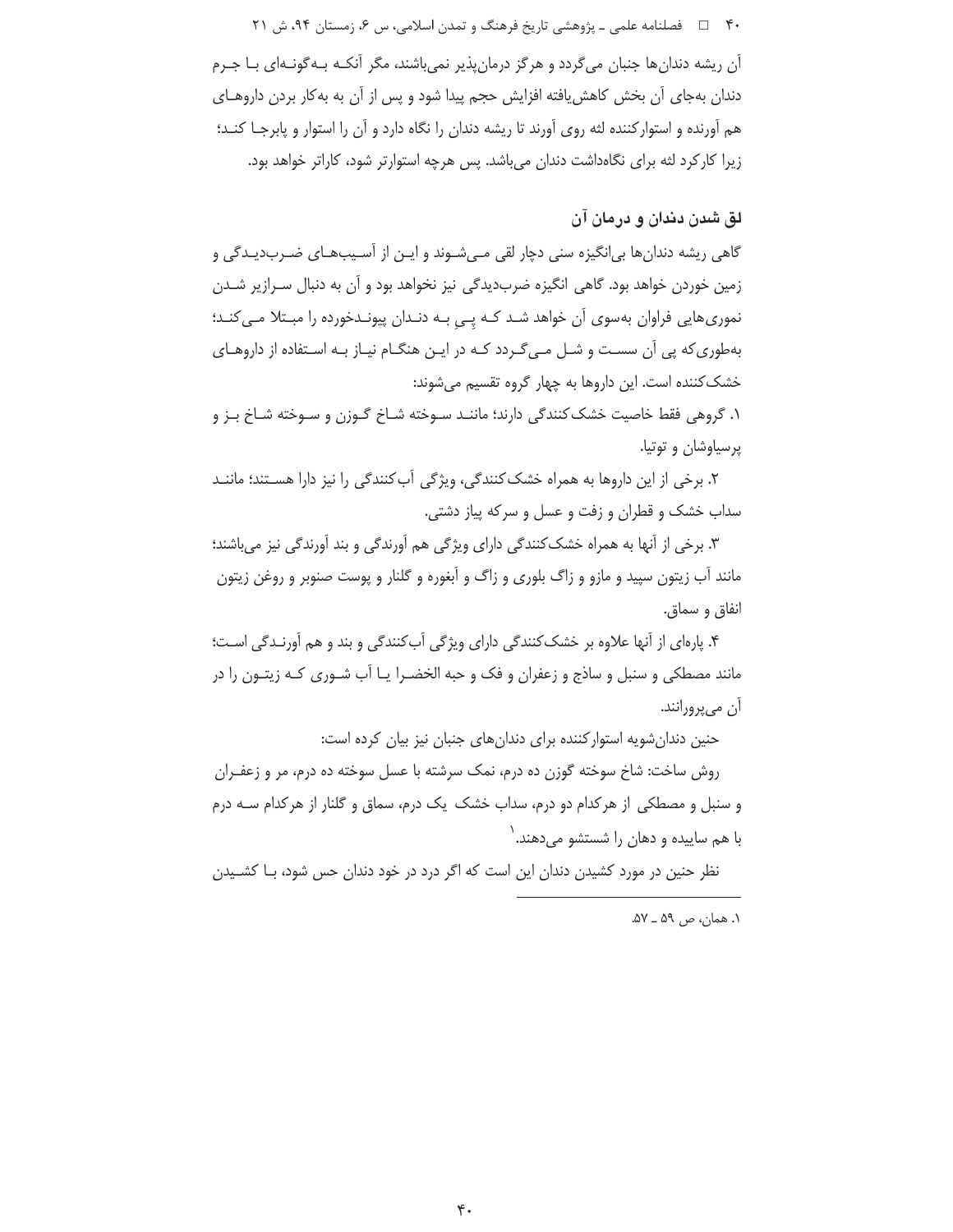۴۰ = فصلنامه علمی ـ یژوهشی تاریخ فرهنگ و تمدن اسلامی، س ۶، زمستان ۹۴، ش ۲۱

آن ریشه دندانها جنبان میگردد و هرگز درمانپذیر نمیباشند، مگر آنکـه بـهگونـهای بـا جـرم دندان بهجای آن بخش کاهش یافته افزایش حجم پیدا شود و پس از آن به بهکار بردن داروهـای هم آورنده و استوارکننده لثه روی آورند تا ریشه دندان را نگاه دارد و آن را استوار و پابرجـا کنـد؛ زیرا کارکرد لثه برای نگاهداشت دندان میباشد. پس هرچه استوارتر شود، کاراتر خواهد بود.

## لق شدن دندان و درمان آن

گاهی ریشه دندانها بی|نگیزه سنی دچار لقی مـیشـوند و ایـن از اَسـیبهـای ضـربدیـدگی و زمین خوردن خواهد بود. گاهی انگیزه ضربدیدگی نیز نخواهد بود و آن به دنبال سـرازیر شـدن نموری هایی فراوان بهسوی آن خواهد شـد کـه یـی بـه دنـدان پیونـدخورده را مبـتلا مـی کنـد؛ بهطوری که پی آن سست و شـل مـی گـردد کـه در ایـن هنگـام نیـاز بـه اسـتفاده از داروهـای خشک کننده است. این داروها به چهار گروه تقسیم میشوند:

١. گروهي فقط خاصيت خشک کنندگي دارند؛ ماننـد سـوخته شـاخ گـوزن و سـوخته شـاخ بـز و پرسياوشان و توتيا.

۲. برخی از این داروها به همراه خشک کنندگی، ویژگی آب کنندگی را نیز دارا هسـتند؛ ماننــد سداب خشک و قطران و زفت و عسل و سرکه پیاز دشتی.

۳. برخی از آنها به همراه خشک کنندگی دارای ویژگی هم آورندگی و بند آورندگی نیز می باشند؛ مانند آب زیتون سپید و مازو و زاگ بلوری و زاگ و آبغوره و گلنار و پوست صنوبر و روغن زیتون انفاق و سماق.

۴. پارهای از آنها علاوه بر خشک کنندگی دارای ویژگی آب کنندگی و بند و هم آورنـدگی اسـت؛ مانند مصطکی و سنبل و ساذج و زعفران و فک و حبه الخضـرا یـا آب شـوری کـه زیتـون را در ان مي پرورانند.

حنین دندان شویه استوار کننده برای دندان های جنبان نیز بیان کرده است:

روش ساخت: شاخ سوخته گوزن ده درم، نمک سرشته با عسل سوخته ده درم، مر و زعفـران و سنبل و مصطکی از هرکدام دو درم، سداب خشک یک درم، سماق و گلنار از هرکدام سـه درم با هم ساییده و دهان را شستشو میدهند.<sup>\</sup>

نظر حنین در مورد کشیدن دندان این است که اگر درد در خود دندان حس شود، بـا کشـیدن

٠١. همان، ص ٥٩ \_ ٥٧.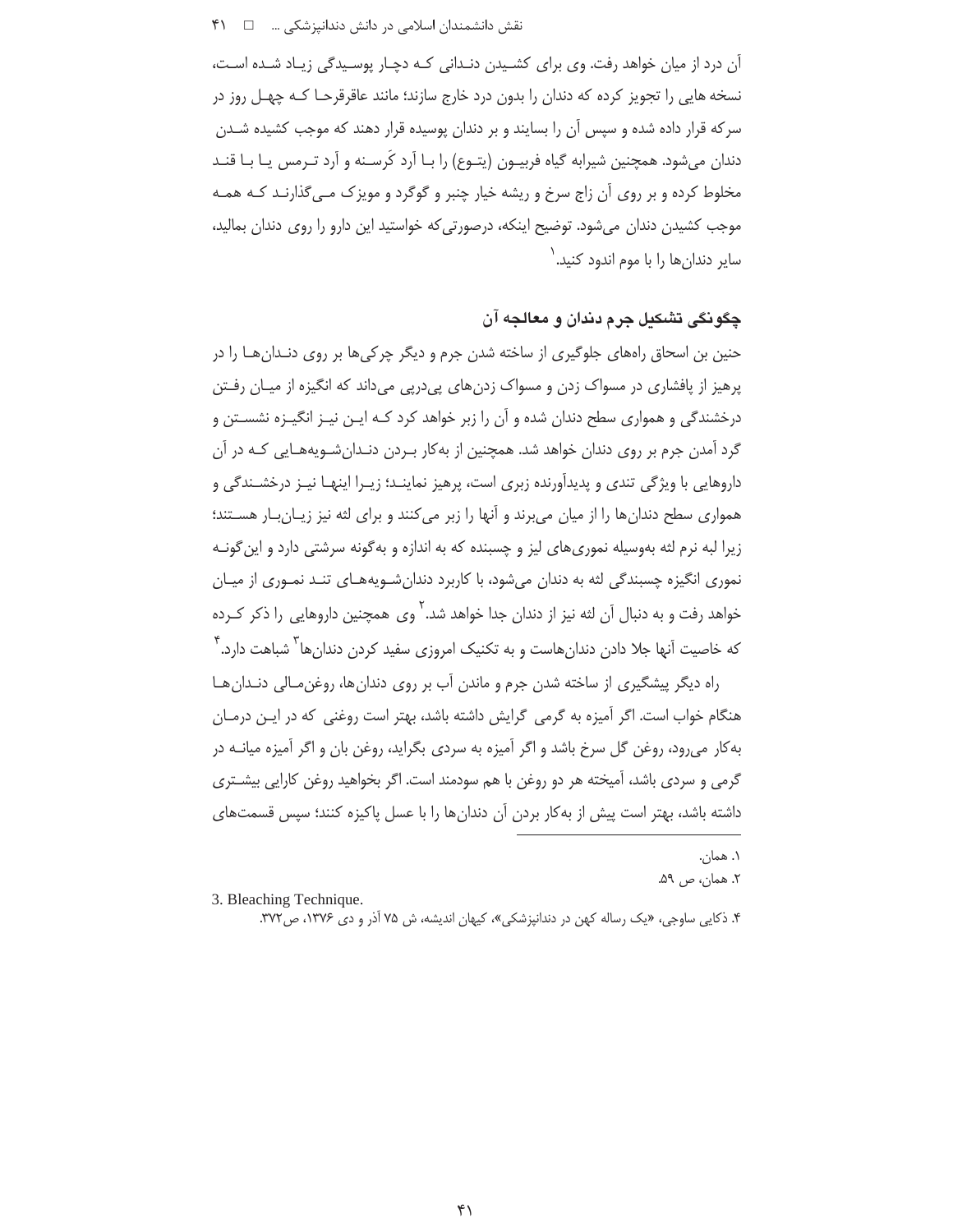آن درد از میان خواهد رفت. وی برای کشـیدن دنـدانی کـه دچـار پوسـیدگی زیـاد شـده اسـت، نسخه هایی را تجویز کرده که دندان را بدون درد خارج سازند؛ مانند عاقرقرحـا کـه چهـل روز در سر که قرار داده شده و سپس آن را بسایند و بر دندان پوسیده قرار دهند که موجب کشیده شــدن دندان میشود. همچنین شیرابه گیاه فربیـون (یتـوع) را بـا اَرد کُرسـنه و اَرد تـرمس یـا بـا قنـد مخلوط کرده و بر روی آن زاج سرخ و ریشه خیار چنبر و گوگرد و مویزک مـی5لذارنـد کـه همـه موجب کشیدن دندان می شود. توضیح اینکه، درصورتی که خواستید این دارو را روی دندان بمالید، سایر دندان ها را با موم اندود کنید.<sup>\</sup>

## ڇڳو نگي تشکيل جرم دندان و معالجه آن

حنین بن اسحاق راههای جلوگیری از ساخته شدن جرم و دیگر چرکی ها بر روی دنـدان هــا را در پرهیز از پافشاری در مسواک زدن و مسواک زدنهای پیدرپی میداند که انگیزه از میـان رفــتن درخشندگی و همواری سطح دندان شده و آن را زبر خواهد کرد کـه ایـن نیـز انگیـزه نشسـتن و گرد آمدن جرم بر روی دندان خواهد شد. همچنین از به کار بـردن دنـدانِ شـویههـایی کـه در آن داروهایی با ویژگی تندی و پدیدآورنده زبری است، پرهیز نماینـد؛ زیـرا اینهـا نیـز درخشـندگی و همواری سطح دندان ها را از میان می برند و آنها را زبر می کنند و برای لثه نیز زیـان بـار هسـتند؛ زیرا لبه نرم لثه بهوسیله نموریهای لیز و چسبنده که به اندازه و به گونه سرشتی دارد و این گونـه نموری انگیزه چسبندگی لثه به دندان میشود، با کاربرد دندانشویههـای تنـد نمـوری از میـان خواهد رفت و به دنبال آن لثه نیز از دندان جدا خواهد شد. ٌ وی همچنین داروهایی را ذکر کـرده که خاصیت آنها جلا دادن دندانهاست و به تکنیک امروزی سفید کردن دندانها<sup>۳</sup> شباهت دارد.<sup>۴</sup>

راه دیگر پیشگیری از ساخته شدن جرم و ماندن آب بر روی دندانها، روغن مالی دنـدانهـا هنگام خواب است. اگر آمیزه به گرمی گرایش داشته باشد، بهتر است روغنی که در ایـن درمـان به کار می رود، روغن گل سرخ باشد و اگر آمیزه به سردی بگراید، روغن بان و اگر آمیزه میانــه در گرمی و سردی باشد، آمیخته هر دو روغن با هم سودمند است. اگر بخواهید روغن کارایی بیشــتری داشته باشد، بهتر است پیش از به کار بردن آن دندانها را با عسل پاکیزه کنند؛ سپس قسمتهای

۱. همان. ۲. همان، ص ۵۹.

<sup>3.</sup> Bleaching Technique.

۴. ذکایی ساوجی، «یک رساله کهن در دندانیزشکی»، کیهان اندیشه، ش ۷۵ آذر و دی ۱۳۷۶، ص ۳۷۲.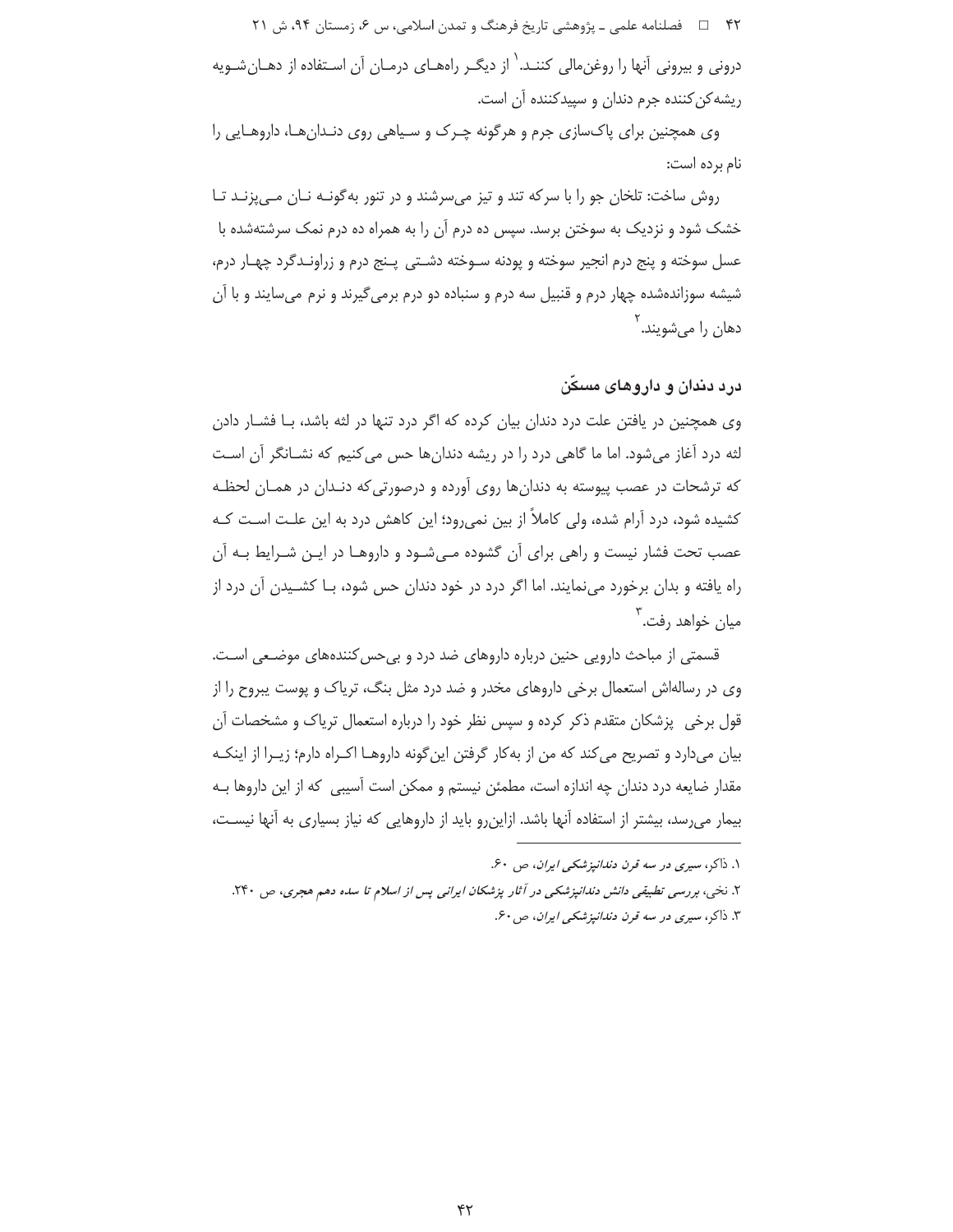۴۲ = فصلنامه علمی ـ پژوهشی تاریخ فرهنگ و تمدن اسلامی، س ۶، زمستان ۹۴، ش ۲۱ درونی و بیرونی آنها را روغنِ مالی کننـد.<sup>\</sup> از دیگـر راههـای درمـان آن اسـتفاده از دهـان شـویه ریشه کن کننده جرم دندان و سپیدکننده آن است.

وی همچنین برای پاکسازی جرم و هرگونه چـرک و سـیاهی روی دنـدانِهـا، داروهـایی را نام برده است:

روش ساخت: تلخان جو را با سركه تند و تيز می سرشند و در تنور به گونـه نـان مـی پزنـد تـا خشک شود و نزدیک به سوختن برسد. سپس ده درم آن را به همراه ده درم نمک سرشتهشده با عسل سوخته و پنج درم انجیر سوخته و پودنه سـوخته دشـتی پـنج درم و زراونـدگرد چهـار درم، شیشه سوزاندهشده چهار درم و قنبیل سه درم و سنباده دو درم برمی گیرند و نرم میسایند و با آن دهان را مے شویند. <sup>۱</sup>

درد دندان و داروهای مسکن

وی همچنین در یافتن علت درد دندان بیان کرده که اگر درد تنها در لثه باشد، بـا فشــار دادن لثه درد آغاز میشود. اما ما گاهی درد را در ریشه دندانها حس می کنیم که نشـانگر آن اسـت که ترشحات در عصب پیوسته به دندان ها روی آورده و درصورتی که دنـدان در همـان لحظـه کشیده شود، درد آرام شده، ولی کاملاً از بین نمی٫رود؛ این کاهش درد به این علـت اسـت کـه عصب تحت فشار نیست و راهی برای آن گشوده مـیشـود و داروهـا در ایـن شـرایط بـه آن راه یافته و بدان برخورد می نمایند. اما اگر درد در خود دندان حس شود، بـا کشـیدن آن درد از میان خواهد رفت.<sup>۲</sup>

قسمتی از مباحث دارویی حنین درباره داروهای ضد درد و بی حس کنندههای موضـعی اسـت. وی در رسالهاش استعمال برخی داروهای مخدر و ضد درد مثل بنگ، تریاک و پوست پیروح را از قول برخی پزشکان متقدم ذکر کرده و سپس نظر خود را درباره استعمال تریاک و مشخصات آن بيان مي دارد و تصريح مي كند كه من از به كار گرفتن اين گونه داروهـا اكـراه دارم؛ زيـرا از اينكـه مقدار ضایعه درد دندان چه اندازه است، مطمئن نیستم و ممکن است آسیبی که از این داروها بـه بیمار میرسد، بیشتر از استفاده آنها باشد. ازاینرو باید از داروهایی که نیاز بسیاری به آنها نیسـت،

۱. ذاکر، سیری در سه قرن دند*انپزشکی ایران*، ص ۶۰. ۲. نخبی، بررسی تطبیقی دانش دندانپزشکی در آثار پزشکان ایرانی پس از اسلام تا سده دهم هجری، ص ۲۴۰. ۳. ذاکر، سیری در سه قرن دن*دانپزشکی ایران*، ص۶۰.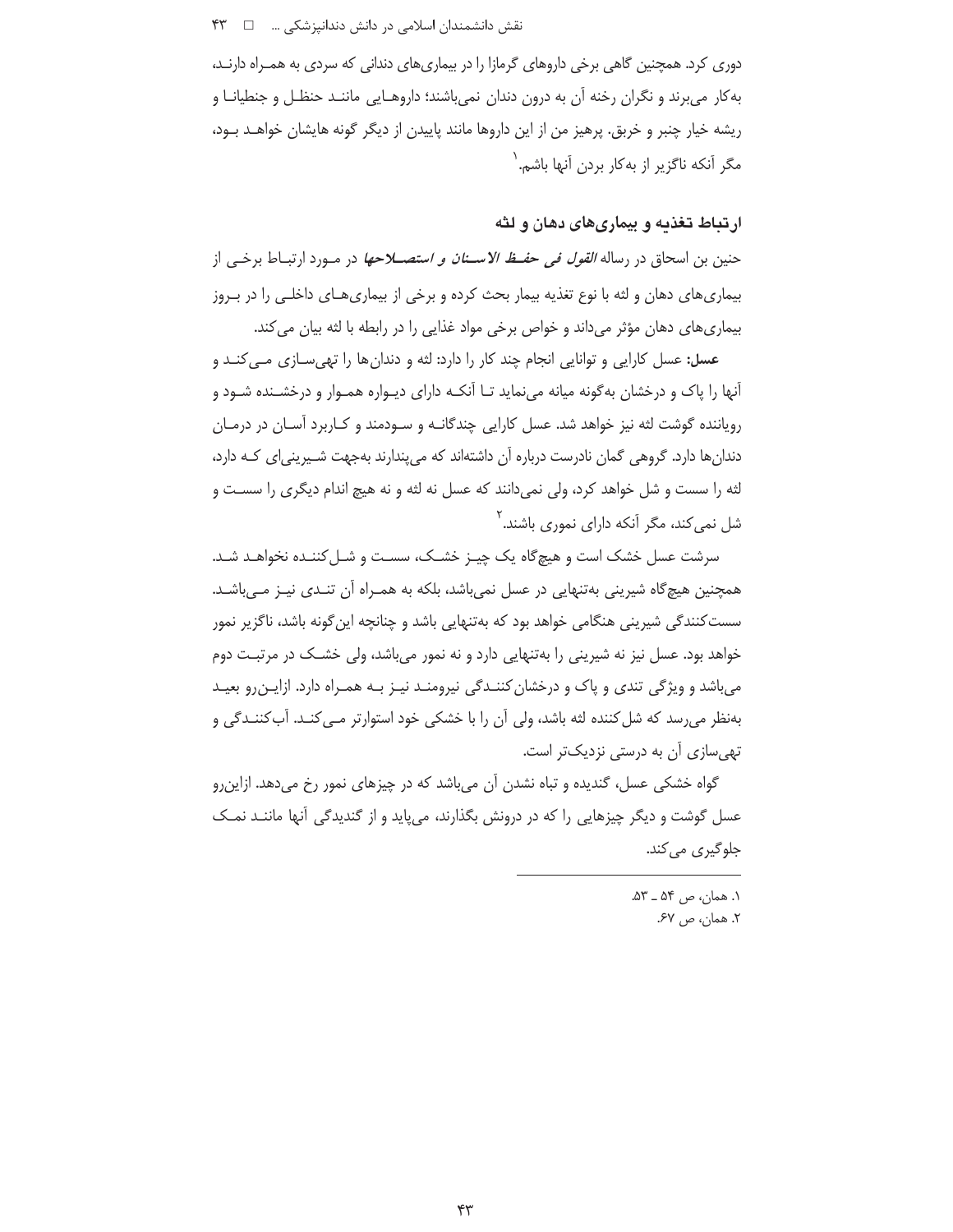دوری کرد. همچنین گاهی برخی داروهای گرمازا را در بیماریهای دندانی که سردی به همـراه دارنـد، به کار می برند و نگران رخنه آن به درون دندان نمی باشند؛ داروهـایی ماننـد حنظـل و جنطیانـا و ریشه خیار چنبر و خربق. پرهیز من از این داروها مانند پاییدن از دیگر گونه هایشان خواهـد بـود، مگر آنکه ناگزیر از بهکار بردن آنها باشم. ۱

## ارتباط تغذیه و بیماریهای دهان و لثه

حنين بن اسحاق در رساله *القول في حفــظ الاســنان و استصـــلاحها* در مــورد ارتبــاط برخــي از بیماریهای دهان و لثه با نوع تغذیه بیمار بحث کرده و برخی از بیماریهـای داخلـی را در بـروز بیماریهای دهان مؤثر میداند و خواص برخی مواد غذایی را در رابطه با لثه بیان می کند.

**عسل:** عسل کارایی و توانایی انجام چند کار را دارد: لثه و دندان ها را تهی سـازی مـی کنـد و آنها را پاک و درخشان به گونه میانه می نماید تـا آنکـه دارای دیـواره همـوار و درخشـنده شـود و رویاننده گوشت لثه نیز خواهد شد. عسل کارایی چندگانـه و سـودمند و کـاربرد آسـان در درمـان دندانها دارد. گروهی گمان نادرست درباره آن داشتهاند که میپندارند بهجهت شـیرینی|ی کـه دارد، لثه را سست و شل خواهد کرد، ولی نمیدانند که عسل نه لثه و نه هیچ اندام دیگری را سسـت و شل نمی *ک*ند، مگر آنکه دارای نموری باشند.<sup>۲</sup>

سرشت عسل خشک است و هیچگاه یک چیـز خشـک، سسـت و شـل کننـده نخواهـد شـد. همچنین هیچگاه شیرینی بهتنهایی در عسل نمی باشد، بلکه به همـراه آن تنـدی نیـز مـی باشـد. سست کنندگی شیرینی هنگامی خواهد بود که بهتنهایی باشد و چنانچه این گونه باشد، ناگزیر نمور خواهد بود. عسل نیز نه شیرینی را بهتنهایی دارد و نه نمور میباشد، ولی خشــک در مرتبـت دوم میباشد و ویژگی تندی و پاک و درخشان کننـدگی نیرومنـد نیـز بـه همـراه دارد. ازایـن٫و بعیـد بهنظر می رسد که شل کننده لثه باشد، ولی آن را با خشکی خود استوارتر مـی کنـد. آب کننـدگی و تھی سازی آن به درستی نزدیکتر است.

گواه خشکی عسل، گندیده و تباه نشدن آن میباشد که در چیزهای نمور رخ میدهد. ازاین رو عسل گوشت و دیگر چیزهایی را که در درونش بگذارند، میپاید و از گندیدگی آنها ماننـد نمـک جلوگیری م*ی ک*ند.

> ١. همان، ص ۵۴ ــ ۵۳. ٢. همان، ص ۶۷.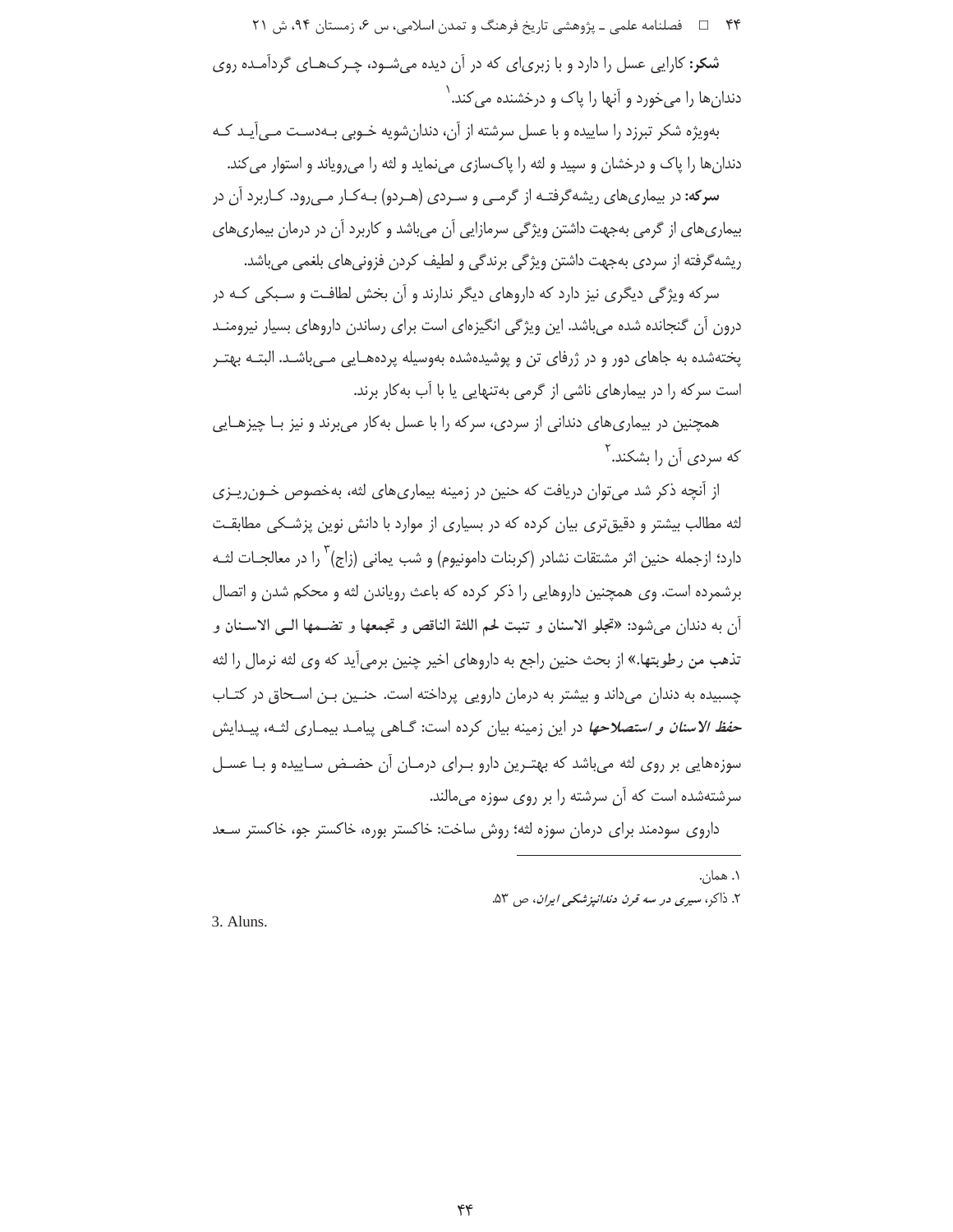۴۴ = = فصلنامه علمي ـ یژوهشي تاریخ فرهنگ و تمدن اسلامي، س ۶، زمستان ۹۴، ش ۲۱

**شکر:** کارایی عسل را دارد و با زبری|ی که در آن دیده میشـود، چـرک&ـای گردآمـده روی دندان ها را مے خورد و آنها را پاک و درخشنده مے کند. ٰ

بهویژه شکر تبرزد را ساییده و با عسل سرشته از آن، دندان شویه خـوبی بـهدسـت مـی آیـد کـه دندانها را پاک و درخشان و سپید و لثه را پاکسازی می نماید و لثه را می رویاند و استوار می کند. **سرکه:** در بیماریهای ریشهگرفتـه از گرمـی و سـردی (هـردو) بـهکـار مـی,رود. کـاربرد آن در بیماریهای از گرمی بهجهت داشتن ویژگی سرمازایی آن میباشد و کاربرد آن در درمان بیماریهای

ریشه گرفته از سردی بهجهت داشتن ویژگی برندگی و لطیف کردن فزونیهای بلغمی می باشد.

سرکه ویژگی دیگری نیز دارد که داروهای دیگر ندارند و آن بخش لطافت و سـبکی کـه در درون آن گنجانده شده می باشد. این ویژگی انگیزهای است برای رساندن داروهای بسیار نیرومنـد پختهشده به جاهای دور و در ژرفای تن و پوشیدهشده بهوسیله پردههـایی مـیباشـد. البتـه بهتـر است سرکه را در بیمارهای ناشی از گرمی بهتنهایی یا با آب بهکار برند.

همچنین در بیماریهای دندانی از سردی، سرکه را با عسل بهکار میبرند و نیز بـا چیزهـایی که سردی آن را بشکند.<sup>۱</sup>

از آنچه ذکر شد می توان دریافت که حنین در زمینه بیماری های لثه، بهخصوص خــون٫یــزی لثه مطالب بیشتر و دقیق تری بیان کرده که در بسیاری از موارد با دانش نوین پزشکی مطابقت دارد؛ ازجمله حنین اثر مشتقات نشادر (کربنات دامونیوم) و شب یمانی (زاج) ٰ را در معالجــات لثــه برشمرده است. وی همچنین داروهایی را ذکر کرده که باعث رویاندن لثه و محکم شدن و اتصال أن به دندان مي شود: «تجلو الاسنان و تنبت لحم اللثة الناقص و تجمعها و تضـمها الـي الاسـنان و تذهب من رطوبتها.» از بحث حنین راجع به داروهای اخیر چنین برمی آید که وی لثه نرمال را لثه چسبیده به دندان میداند و بیشتر به درمان دارویی پرداخته است. حنین بـن اسـحاق در کتـاب *حفظ الاسنان و استصلاحها* در این زمینه بیان کرده است: گــاهی پیامــد بیمــاری لثــه، پیــدایش سوزههایی بر روی لثه میباشد که بهتـرین دارو بـرای درمـان آن حضـض سـاییده و بـا عسـل سرشتهشده است که آن سرشته را بر روی سوزه میمالند.

داروی سودمند برای درمان سوزه لثه؛ روش ساخت: خاکستر بوره، خاکستر جو، خاکستر سـعد

۱. همان. ۲. ذاکر، سیری در سه قرن دن*دانیز شکی ایران*، ص ۵۳.

3. Aluns.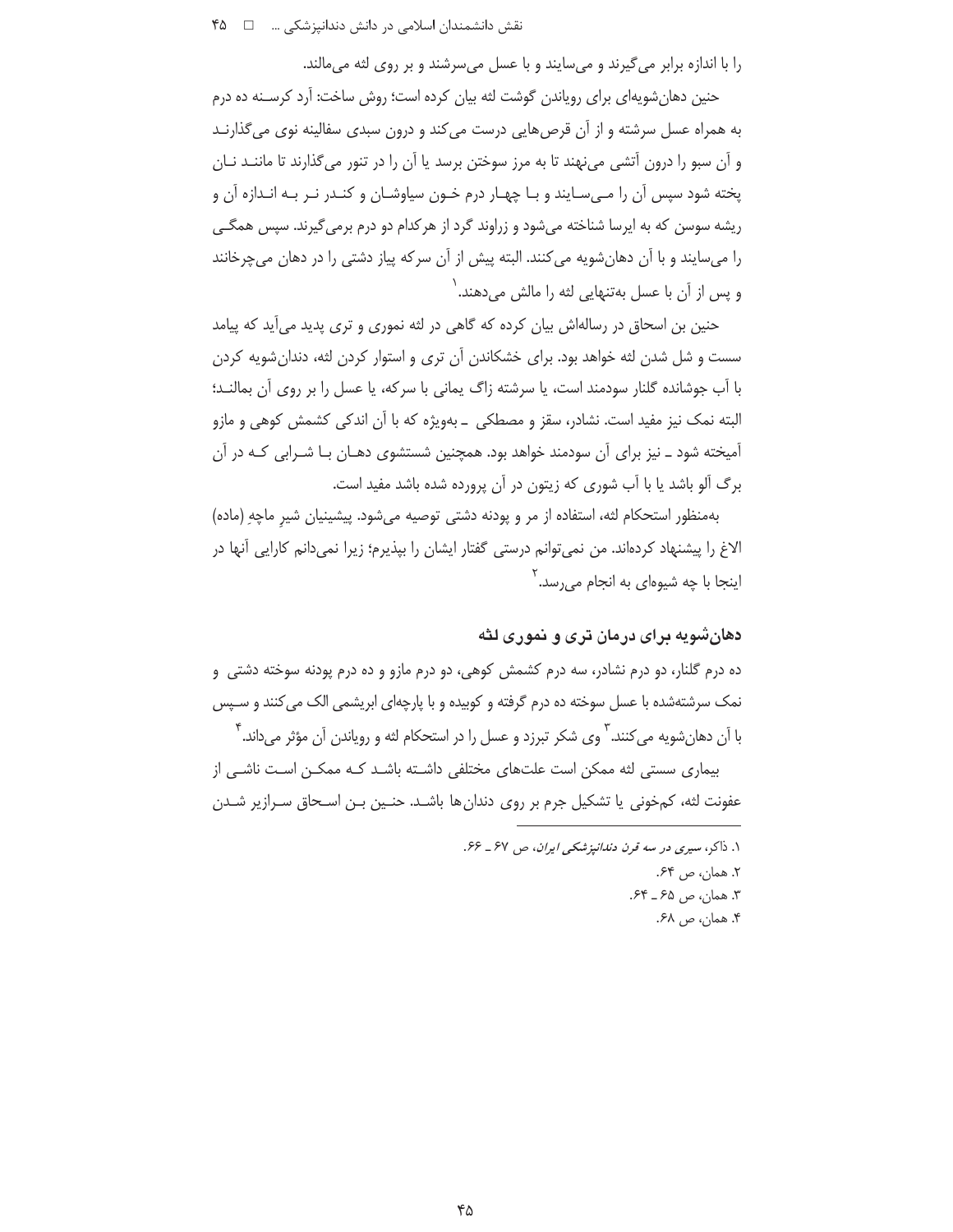را با اندازه برابر می گیرند و میسایند و با عسل میسرشند و بر روی لثه میمالند.

حنین دهان شویهای برای رویاندن گوشت لثه بیان کرده است؛ روش ساخت: آرد کرسـنه ده درم به همراه عسل سرشته و از آن قرص هایی درست می کند و درون سبدی سفالینه نوی می گذارنـد و آن سبو را درون آتشی می نهند تا به مرز سوختن برسد یا آن را در تنور می گذارند تا ماننـد نـان پخته شود سپس آن را مـی،سـایند و بـا چهـار درم خـون سیاوشـان و کنـدر نـر بـه انـدازه آن و ریشه سوسن که به ایرسا شناخته می شود و زراوند گرد از هرکدام دو درم برمی گیرند. سپس همگـی را میسایند و با آن دهانشویه می کنند. البته پیش از آن سرکه پیاز دشتی را در دهان می چرخانند و پس از آن با عسل بهتنهایی لثه را مالش میدهند.<sup>\</sup>

حنین بن اسحاق در رسالهاش بیان کرده که گاهی در لثه نموری و تری پدید میآید که پیامد سست و شل شدن لثه خواهد بود. برای خشکاندن آن تری و استوار کردن لثه، دندان شویه کردن با آب جوشانده گلنار سودمند است، یا سرشته زاگ یمانی با سرکه، یا عسل را بر روی آن بمالنـد؛ البته نمک نیز مفید است. نشادر، سقز و مصطکی \_ بهویژه که با آن اندکی کشمش کوهی و مازو آمیخته شود ــ نیز برای آن سودمند خواهد بود. همچنین شستشوی دهـان بـا شـرابی کـه در آن برگ آلو باشد یا با آب شوری که زیتون در آن پرورده شده باشد مفید است.

بهمنظور استحكام لثه، استفاده از مر و پودنه دشتی توصیه میشود. پیشینیان شیر ماچهِ (ماده) الاغ را پیشنهاد کردهاند. من نمی توانم درستی گفتار ایشان را بیذیرم؛ زیرا نمی دانم کارایی آنها در اینجا با چه شیوها*ی* به انجام مے ٫٫سد.<sup>۲</sup>

# دهان شویه در ای در مان تری و نموری لثه

ده درم گلنار، دو درم نشادر، سه درم کشمش کوهی، دو درم مازو و ده درم پودنه سوخته دشتی و نمک سرشتهشده با عسل سوخته ده درم گرفته و کوبیده و با پارچهای ابریشمی الک می کنند و سپس با آن دهان شویه می کنند. ٰ وی شکر تبرزد و عسل را در استحکام لثه و رویاندن آن مؤثر می داند. ٔ

بیماری سستی لثه ممکن است علتهای مختلفی داشـته باشـد کـه ممکـن اسـت ناشـی از عفونت لثه، كمخوني يا تشكيل جرم بر روى دندان ها باشـد. حنـين بـن اسـحاق سـرازير شـدن

> ١. ذاكر، سيرى در سه قرن دندانپزشكى ايران، ص ۶۷ ـ ۶۶. ٢. همان، ص ۶۴. ۳. همان، ص ۶۵ ــ ۶۴. ۴. همان، ص ۶۸.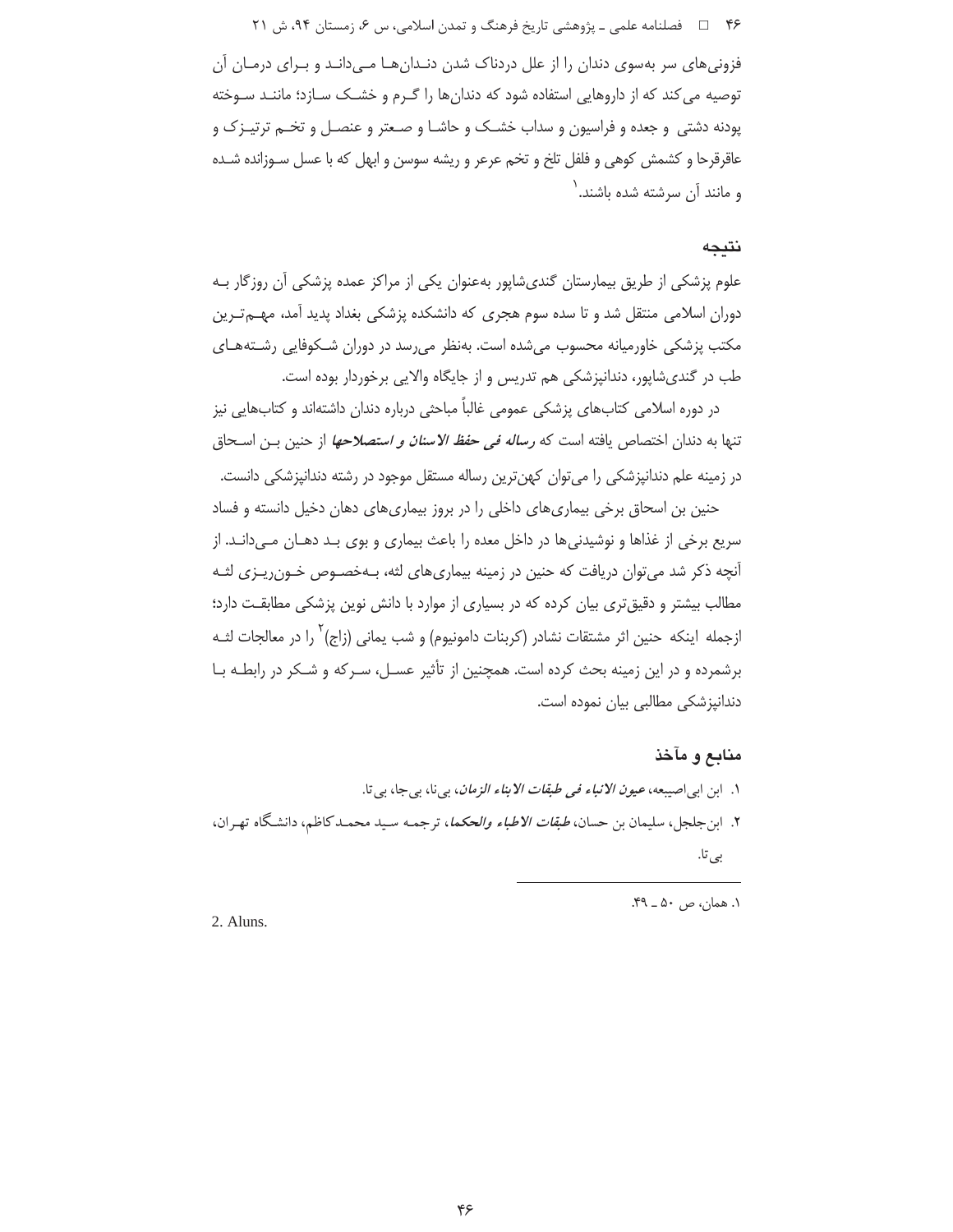۴۶ = فصلنامه علمی ـ پژوهشی تاریخ فرهنگ و تمدن اسلامی، س ۶، زمستان ۹۴، ش ۲۱

فزونیهای سر بهسوی دندان را از علل دردناک شدن دنـدانهـا مـی۱دانـد و بـرای درمـان آن توصیه می کند که از داروهایی استفاده شود که دندانها را گـرم و خشــک سـازد؛ ماننـد سـوخته پودنه دشتی و جعده و فراسیون و سداب خشــک و حاشــا و صـعتر و عنصــل و تخــم ترتیــز ک و عاقرقرحا و کشمش کوهی و فلفل تلخ و تخم عرعر و ریشه سوسن و ابهل که با عسل سـوزانده شـده و مانند آن سرشته شده باشند.<sup>\</sup>

## نتبجه

علوم پزشکی از طریق بیمارستان گندیشاپور بهعنوان یکی از مراکز عمده پزشکی آن روزگار بـه دوران اسلامی منتقل شد و تا سده سوم هجری که دانشکده پزشکی بغداد پدید آمد، مهــم تــرین مکتب پزشکی خاورمیانه محسوب میشده است. بهنظر می رسد در دوران شـکوفایی رشـتههـای طب در گندیشاپور، دندانپزشکی هم تدریس و از جایگاه والایی برخوردار بوده است.

در دوره اسلامی کتابهای پزشکی عمومی غالباً مباحثی درباره دندان داشتهاند و کتابهایی نیز تنها به دندان اختصاص یافته است که *رساله فی حفظ الاسنان و استصلاحها* از حنین بـن اسـحاق در زمینه علم دندانپزشکی را میتوان کهنترین رساله مستقل موجود در رشته دندانپزشکی دانست.

حنین بن اسحاق برخی بیماریهای داخلی را در بروز بیماریهای دهان دخیل دانسته و فساد سریع برخی از غذاها و نوشیدنی ها در داخل معده را باعث بیماری و بوی بـد دهــان مــی<انــد. از آنچه ذکر شد میتوان دریافت که حنین در زمینه بیماریهای لثه، بـهخصــوص خــون٫یــزی لثــه مطالب بیشتر و دقیق تری بیان کرده که در بسیاری از موارد با دانش نوین پزشکی مطابقت دارد؛ ازجمله اینکه حنین اثر مشتقات نشادر (کربنات دامونیوم) و شب یمانی (زاج) <sup>۲</sup> را در معالجات ل*ث*ـه برشمرده و در این زمینه بحث کرده است. همچنین از تأثیر عسـل، سـرکه و شـکر در رابطـه بـا دندانیزشکی مطالبی بیان نموده است.

## منابع و مآخذ

۱. ابن ابی|صیبعه، *عیون الانباء فی طبقات الابناء الزمان*، بی نا، بی جا، بی تا. ۲. این جلجل، سلیمان بن حسان، *طبقات الاطباء والحکما*، ترجمـه سـید محمـدکاظم، دانشگاه تهـران، بى تا.

١. همان، ص ۵۰ \_ ۴۹.

2. Aluns.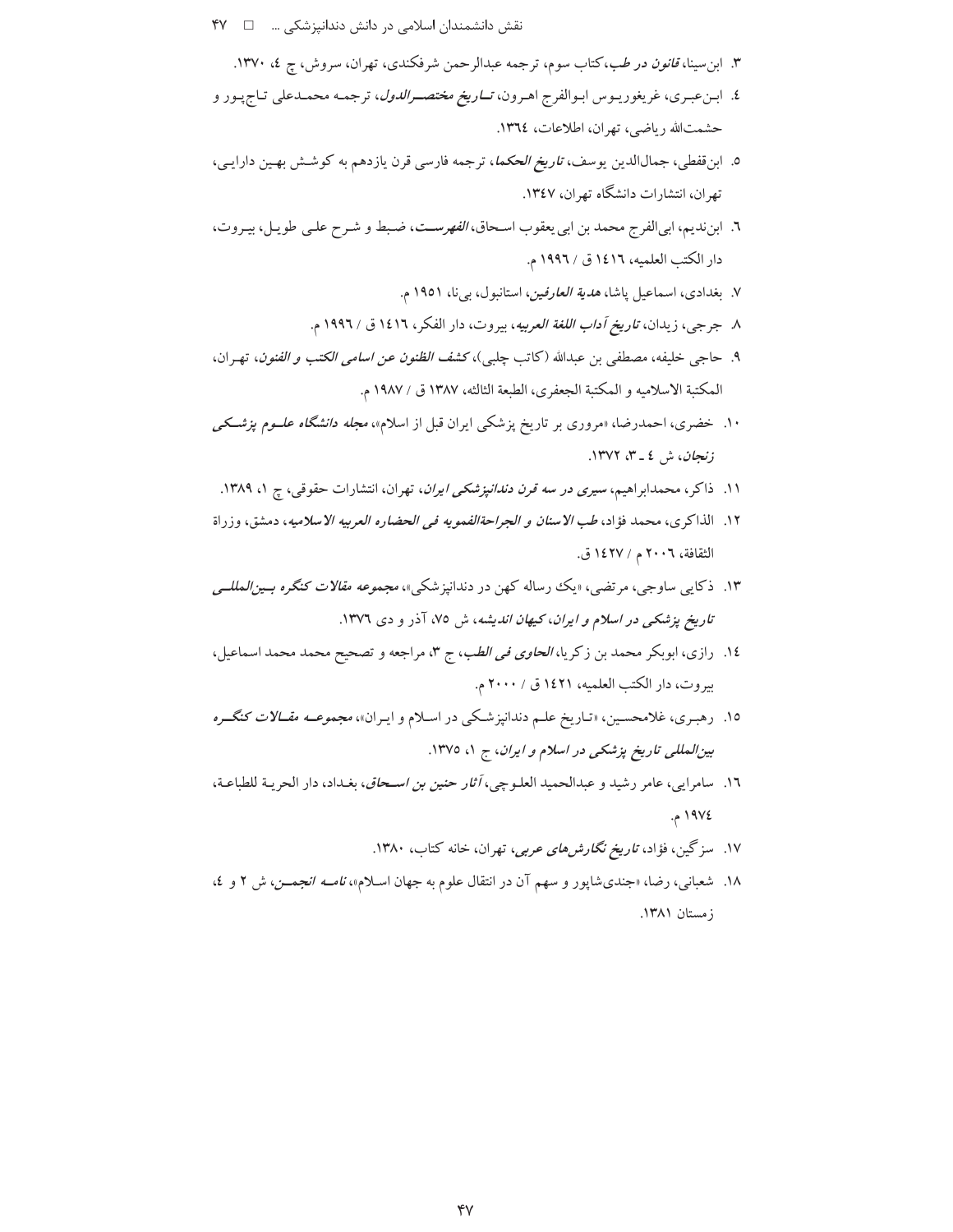- - ۳. ابن سینا، *قانون در طب*،کتاب سوم، ترجمه عبدالرحمن شرفکندی، تهران، سروش، چ ٤، ۱۳۷۰.
- ٤. ابـنءبـري، غريغوريـوس ابـوالفرج اهـرون، *تــاريخ مختصــرالدول*، ترجمـه محمـدعلي تـاجپـور و حشمت الله رياضي، تهران، اطلاعات، ١٣٦٤.
- ٥. ابن قفطي، جمالالدين يوسف، *تاريخ الحكما*، ترجمه فارسي قرن يازدهم به كوشش بهـين دارايـي، تهران، انتشارات دانشگاه تهران، ۱۳٤۷.
- ٦. ابن نديم، ابي الفرج محمد بن ابي يعقوب اسحاق، *الفهرست*، ضبط و شرح علي طويل، بيروت، دار الكتب العلميه، ١٤١٦ ق / ١٩٩٦ م.
	- ۷. بغدادی، اسماعیل پاشا، *هدیة العارفین*، استانبول، بیiا، ۱۹۵۱ م.
	- ٨ جرجي، زيدان، *تاريخ آداب اللغة العربيه*، بيروت، دار الفكر، ١٤١٦ ق / ١٩٩٢ م.
- ٩. حاجي خليفه، مصطفى بن عبدالله (كاتب چلبي)، كشف *الظنون عن اسامي الكتب و الفنون*، تهـران، المكتبة الاسلاميه و المكتبة الجعفري، الطبعة الثالثه، ١٣٨٧ ق / ١٩٨٧ م.
- ۱۰. خضری، احمدرضا، «مروری بر تاریخ پزشکی ایران قبل از اسلام»، *مجله دانشگاه علــوم پزشــکی* زنجان، ش ٤ \_ ٣، ١٣٧٢.
- ۱۱. ذاکر، محمدابراهیم، *سیری در سه قرن دندانپزشکی ایران*، تهران، انتشارات حقوقی، چ ۱، ۱۳۸۹.
- ١٢. الذاكرى، محمد فؤاد، *طب الاسنان و الجراحةالفمويه في الحضاره العربيه الاسلاميه*، دمشق، وزراة الثقافة، ٢٠٠٦ م / ١٤٢٧ ق.
- ۱۳. ذکایبی ساوجی، مرتضی، «یک رساله کهن در دندانپزشکی»، *مجموعه مقالات کنگره بــین/لمللــی تاریخ پزشکی در اسلام و ایران، کیهان اندیشه*، ش ۷۵، آذر و دی ۱۳۷۲.
- ١٤. رازي، ابوبكر محمد بن زكريا، *الحاوي في الطب*، ج ٣، مراجعه و تصحيح محمد محمد اسماعيل، بيروت، دار الكتب العلميه، ١٤٢١ ق / ٢٠٠٠ م.
- ۱۵. رهبـری، غلامحسـین، «تـاریخ علـم دندانپزشـکی در اسـلام و ایـران»، *مجموعــه مقــالات کنگــره* بین المللی تاریخ پزشکی در اسلام و ایران، ج ۱، ۱۳۷۵.
- ١٦. سامرايي، عامر رشيد و عبدالحميد العلـوچي، *أثار حنين بن اسـحاق*، بغـداد، دار الحريـة للطباعـة، ١٩٧٤م.
	- ۱۷. سزگین، فؤاد، *تاریخ نگارش های عربی*، تهران، خانه کتاب، ۱۳۸۰.
- ۱۸. شعبانی، رضا، «جندیشایور و سهم آن در انتقال علوم به جهان اسلام»، *نامــه انجمــن*، ش ۲ و ٤، زمستان ١٣٨١.